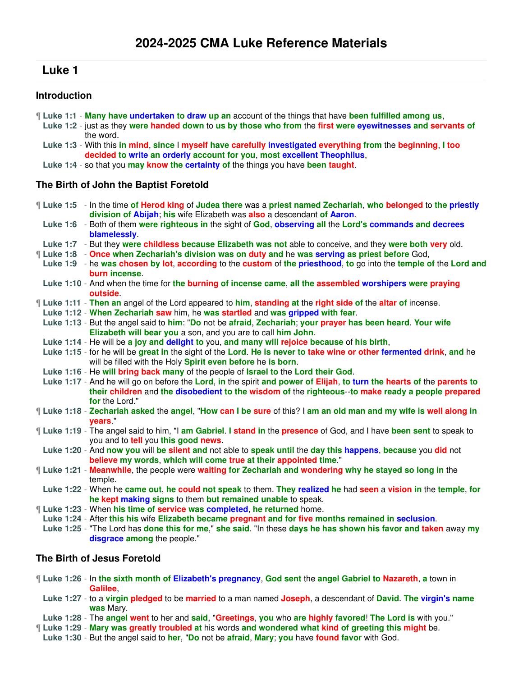# **Luke 1**

## **Introduction**

- ¶ **Luke 1:1 Many have undertaken to draw up an** account of the things that have **been fulfilled among us**,
- **Luke 1:2** just as they **were handed down** to **us by those who from** the **first were eyewitnesses and servants of** the word.
- **Luke 1:3** With this **in mind**, **since** I **myself have carefully investigated everything from** the **beginning**, **I too decided to write an orderly account for you**, **most excellent Theophilus**,
- **Luke 1:4** so that you **may know the certainty of** the things you have **been taught**.

## **The Birth of John the Baptist Foretold**

- ¶ **Luke 1:5** In the time **of Herod king** of **Judea there** was a **priest named Zechariah**, **who belonged** to **the priestly division of Abijah**; **his** wife Elizabeth was **also** a descendant **of Aaron**.
- **Luke 1:6** Both of them **were righteous in** the sight of **God**, **observing all** the **Lord's commands and decrees blamelessly**.
- **Luke 1:7** But they **were childless because Elizabeth was not** able to conceive, and they **were both very** old.
- ¶ **Luke 1:8 Once when Zechariah's division was on duty and** he **was serving as priest before** God,
- **Luke 1:9** he **was chosen by lot**, **according** to the **custom** of **the priesthood**, **to** go into the **temple of** the **Lord and burn incense**.
- **Luke 1:10** And when the time for **the burning of incense came**, **all the assembled worshipers were praying outside**.
- ¶ **Luke 1:11 Then an** angel of the Lord appeared to **him**, **standing at** the **right side of** the **altar of** incense.
- **Luke 1:12 When Zechariah saw** him, he **was startled** and **was gripped with fear**.
- **Luke 1:13** But the angel said to **him**: "**Do** not be **afraid**, **Zechariah**; **your prayer has been heard**. **Your wife Elizabeth will bear you** a son, and you are to call **him John**.
- **Luke 1:14** He will be **a joy and delight to** you, **and many will rejoice because** of **his birth**,
- **Luke 1:15** for he will be **great in** the sight of the **Lord**. **He is never to take wine or other fermented drink**, **and** he will be filled with the Holy **Spirit even before** he **is born**.
- **Luke 1:16** He **will bring back many** of the people of **Israel to** the **Lord their God**.
- **Luke 1:17** And he will go on before the **Lord**, **in** the spirit **and power of Elijah**, **to turn the hearts of** the **parents to their children** and **the disobedient to the wisdom of** the **righteous**--**to make ready a people prepared for** the Lord."
- ¶ **Luke 1:18 Zechariah asked** the **angel**, "**How can I be sure** of this? I **am an old man and my wife is well along in years**."
- ¶ **Luke 1:19** The angel said to him, "I **am Gabriel**. **I stand in** the **presence** of God, and I have **been sent** to speak to you and to **tell** you **this good news**.
- **Luke 1:20** And **now you** will **be silent and** not able to **speak until** the **day this happens**, **because** you **did** not **believe my words**, **which will come true at their appointed time**."
- ¶ **Luke 1:21 Meanwhile**, the people were **waiting for Zechariah and wondering why he stayed so long in** the temple.
- **Luke 1:22** When he **came out**, **he could not speak** to them. **They realized he** had **seen** a **vision in** the **temple**, **for he kept making signs** to them **but remained unable** to speak.
- ¶ **Luke 1:23** When **his time of service was completed**, **he returned** home.
- **Luke 1:24** After **this his** wife **Elizabeth became pregnant and for five months remained in seclusion**.
- **Luke 1:25** "The Lord has **done this for me**," **she said**. "In these **days he has shown his favor and taken** away **my disgrace among** the people."

# **The Birth of Jesus Foretold**

- ¶ **Luke 1:26** In **the sixth month of Elizabeth's pregnancy**, **God sent** the **angel Gabriel to Nazareth**, **a** town in **Galilee**,
	- **Luke 1:27** to a **virgin pledged** to be **married** to a man named **Joseph**, a descendant of **David**. **The virgin's name was** Mary.
- **Luke 1:28** The **angel went** to her and **said**, "**Greetings**, **you** who **are highly favored**! **The Lord is** with you."
- ¶ **Luke 1:29 Mary was greatly troubled at** his words **and wondered what kind of greeting this might** be.
- **Luke 1:30** But the angel said to **her**, "**Do** not be **afraid**, **Mary**; **you** have **found favor** with God.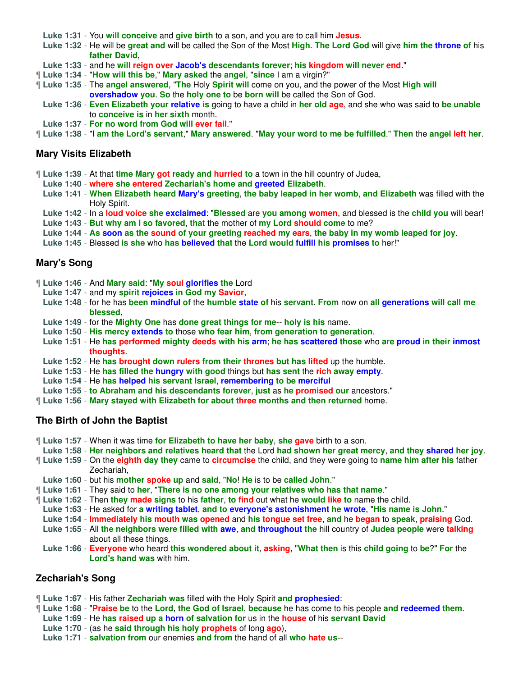**Luke 1:31** - You **will conceive** and **give birth** to a son, and you are to call him **Jesus**.

- **Luke 1:32** He will be **great and** will be called the Son of the Most **High**. **The Lord God** will give **him the throne of** his **father David**,
- **Luke 1:33** and he **will reign over Jacob's descendants forever**; **his kingdom will never end**."
- ¶ **Luke 1:34** "**How will this be**," **Mary asked** the **angel**, "**since** I am a virgin?"
- ¶ **Luke 1:35** The **angel answered**, "**The** Holy **Spirit will** come on you, and the power of the Most **High will overshadow you**. **So** the **holy one to** be **born will** be called the Son of God.
- **Luke 1:36 Even Elizabeth your relative is** going to have a child in **her old age**, and she who was said to **be unable** to **conceive is** in **her sixth** month.
- **Luke 1:37 For no word from God will ever fail**."
- ¶ **Luke 1:38** "I **am the Lord's servant**," **Mary answered**. "**May your word to me be fulfilled**." **Then** the **angel left her**.

### **Mary Visits Elizabeth**

- ¶ **Luke 1:39** At that **time Mary got ready and hurried to** a town in the hill country of Judea,
- **Luke 1:40 where she entered Zechariah's home and greeted Elizabeth**.
- **Luke 1:41 When Elizabeth heard Mary's greeting**, **the baby leaped in her womb**, **and Elizabeth** was filled with the Holy Spirit.
- **Luke 1:42** In a **loud voice she exclaimed**: "**Blessed** are **you among women**, and blessed is the **child you** will bear!
- **Luke 1:43 But why am I so favored**, **that** the mother of **my Lord should come** to me?
- **Luke 1:44 As soon as the sound of your greeting reached my ears**, **the baby in my womb leaped for joy**.
- **Luke 1:45** Blessed **is she** who **has believed that** the **Lord would fulfill his promises to** her!"

### **Mary's Song**

- ¶ **Luke 1:46** And **Mary said**: "**My soul glorifies the** Lord
- **Luke 1:47** and my **spirit rejoices in God my Savior**,
- **Luke 1:48** for he has **been mindful of** the **humble state of** his **servant**. **From** now on **all generations will call me blessed**,
- **Luke 1:49** for the **Mighty One** has **done great things for me**-- **holy is his** name.
- **Luke 1:50 His mercy extends to** those **who fear him**, **from generation to generation**.
- **Luke 1:51** He **has performed mighty deeds with his arm**; **he has scattered those** who **are proud in their inmost thoughts**.
- **Luke 1:52** He **has brought down rulers from their thrones but has lifted** up the humble.
- **Luke 1:53** He **has filled the hungry with good** things but **has sent** the **rich away empty**.
- **Luke 1:54** He **has helped his servant Israel**, **remembering to be merciful**
- **Luke 1:55 to Abraham and his descendants forever**, **just** as **he promised our** ancestors."
- ¶ **Luke 1:56 Mary stayed with Elizabeth for about three months and then returned** home.

### **The Birth of John the Baptist**

- ¶ **Luke 1:57** When it was time **for Elizabeth to have her baby**, **she gave** birth to a son.
- **Luke 1:58 Her neighbors and relatives heard that** the Lord **had shown her great mercy**, **and they shared her joy**.
- ¶ **Luke 1:59** On the **eighth day they** came to **circumcise** the child, and they were going to **name him after his** father Zechariah,
- **Luke 1:60** but his **mother spoke up** and **said**, "**No**! **He** is to be **called John**."
- ¶ **Luke 1:61** They said to **her**, "**There is no one among your relatives who has that name**."
- ¶ **Luke 1:62** Then **they made signs** to his **father**, **to find** out what he **would like to** name the child.
- **Luke 1:63** He asked for **a writing tablet**, **and to everyone's astonishment he wrote**, "**His name is John**."
- **Luke 1:64 Immediately his mouth was opened** and **his tongue set free**, **and** he **began** to **speak**, **praising** God.
- **Luke 1:65** All **the neighbors were filled with awe**, **and throughout the** hill country of **Judea people** were **talking** about all these things.
- **Luke 1:66 Everyone** who heard **this wondered about it**, **asking**, "**What then** is this **child going** to **be**?" **For** the **Lord's hand was** with him.

### **Zechariah's Song**

- ¶ **Luke 1:67** His father **Zechariah was** filled with the Holy Spirit **and prophesied**:
- ¶ **Luke 1:68** "**Praise be** to the **Lord**, **the God of Israel**, **because** he has come to his people **and redeemed them**.
- **Luke 1:69** He **has raised up a horn of salvation for** us in the **house** of his **servant David**
- **Luke 1:70** (as he **said through his holy prophets** of long **ago**),
- **Luke 1:71 salvation from** our enemies **and from** the hand of all **who hate us**--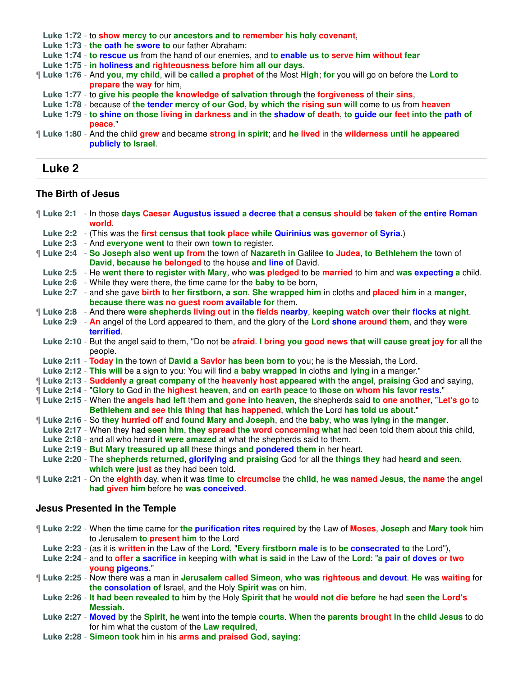**Luke 1:72** - to **show mercy to** our **ancestors and to remember his holy covenant**,

**Luke 1:73** - **the oath he swore to** our father Abraham:

- **Luke 1:74 to rescue us** from the hand of our enemies, and **to enable us to serve him without fear**
- **Luke 1:75 in holiness and righteousness before him all our days**.

¶ **Luke 1:76** - And **you**, **my child**, will be **called a prophet of** the Most **High**; **for** you will go on before the **Lord to prepare** the **way** for him,

- **Luke 1:77** to **give his people the knowledge of salvation through** the **forgiveness** of **their sins**,
- **Luke 1:78** because of **the tender mercy of our God**, **by which the rising sun will** come to us from **heaven**
- Luke 1:79 to shine on those living in darkness and in the shadow of death, to quide our feet into the path of **peace**."
- ¶ **Luke 1:80** And the child **grew** and became **strong in spirit**; and **he lived** in the **wilderness until he appeared publicly to Israel**.

# **Luke 2**

## **The Birth of Jesus**

| Luke 2:1 - In those days Caesar Augustus issued a decree that a census should be taken of the entire Roman<br>world.                                                    |
|-------------------------------------------------------------------------------------------------------------------------------------------------------------------------|
| Luke 2:2 - (This was the first census that took place while Quirinius was governor of Syria.)                                                                           |
| Luke 2:3 - And everyone went to their own town to register.                                                                                                             |
| Luke 2:4 - So Joseph also went up from the town of Nazareth in Galilee to Judea, to Bethlehem the town of<br>David, because he belonged to the house and line of David. |
| Luke 2:5 - He went there to register with Mary, who was pledged to be married to him and was expecting a child.                                                         |
| Luke 2:6 - While they were there, the time came for the <b>baby to</b> be born,                                                                                         |
| Luke 2:7 - and she gave birth to her firstborn, a son. She wrapped him in cloths and placed him in a manger,                                                            |
| because there was no guest room available for them.                                                                                                                     |
| If Luke 2:8 - And there were shepherds living out in the fields nearby, keeping watch over their flocks at night.                                                       |
| Luke 2:9 - An angel of the Lord appeared to them, and the glory of the Lord shone around them, and they were<br>terrified.                                              |
| Luke 2:10 - But the angel said to them, "Do not be afraid. I bring you good news that will cause great joy for all the                                                  |
| people.                                                                                                                                                                 |
| Luke 2:11 - Today in the town of David a Savior has been born to you; he is the Messiah, the Lord.                                                                      |
| Luke 2:12 - This will be a sign to you: You will find a baby wrapped in cloths and lying in a manger."                                                                  |
| [Luke 2:13 - Suddenly a great company of the heavenly host appeared with the angel, praising God and saying,                                                            |
| [Luke 2:14 - "Glory to God in the highest heaven, and on earth peace to those on whom his favor rests."                                                                 |
| If Luke 2:15 - When the angels had left them and gone into heaven, the shepherds said to one another, "Let's go to                                                      |
| Bethlehem and see this thing that has happened, which the Lord has told us about."                                                                                      |
| If Luke 2:16 - So they hurried off and found Mary and Joseph, and the baby, who was lying in the manger.                                                                |
| Luke 2:17 - When they had seen him, they spread the word concerning what had been told them about this child,                                                           |
| Luke 2:18 - and all who heard it were amazed at what the shepherds said to them.                                                                                        |
| Luke 2:19 - But Mary treasured up all these things and pondered them in her heart.                                                                                      |
| Luke 2:20 - The shepherds returned, glorifying and praising God for all the things they had heard and seen,                                                             |
| which were just as they had been told.                                                                                                                                  |
| If Luke 2:21 - On the eighth day, when it was time to circumcise the child, he was named Jesus, the name the angel                                                      |
| had given him before he was conceived.                                                                                                                                  |
| <b>Jesus Presented in the Temple</b>                                                                                                                                    |
| If Luke 2:22 - When the time came for the purification rites required by the Law of Moses, Joseph and Mary took him<br>to Jerusalem to present him to the Lord          |
| Luke 2:23 - (as it is written in the Law of the Lord, "Every firstborn male is to be consecrated to the Lord"),                                                         |
| Luke 2:24 - and to offer a sacrifice in keeping with what is said in the Law of the Lord: "a pair of doves or two                                                       |
| young pigeons                                                                                                                                                           |

- ¶ **Luke 2:25** Now there was a man in **Jerusalem called Simeon**, **who was righteous and devout**. **He** was **waiting** for **the consolation of** Israel, and the Holy **Spirit was** on him.
	- **Luke 2:26 It had been revealed to** him by the Holy **Spirit that** he **would not die before** he had **seen the Lord's Messiah**.
	- **Luke 2:27 Moved by** the **Spirit**, **he** went into the temple **courts**. **When** the **parents brought in** the **child Jesus** to do for him what the custom of the **Law required**,
	- **Luke 2:28 Simeon took** him in his **arms and praised God**, **saying**: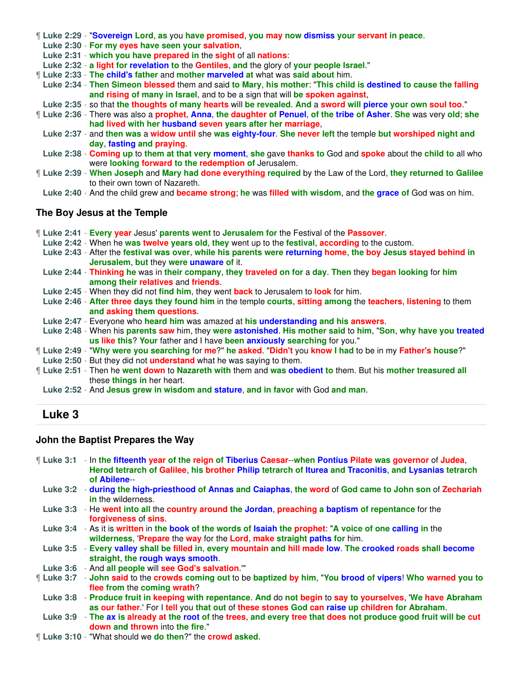|  | ¶ Luke 2:29 - "Sovereign Lord, as you have promised, you may now dismiss your servant in peace. |  |
|--|-------------------------------------------------------------------------------------------------|--|
|  |                                                                                                 |  |

**Luke 2:30** - **For my eyes have seen your salvation**,

**Luke 2:31** - **which you have prepared in** the **sight** of all **nations**:

**Luke 2:32** - **a light for revelation to** the **Gentiles**, **and** the glory of **your people Israel**."

¶ **Luke 2:33** - **The child's father** and **mother marveled at** what was **said about** him.

**Luke 2:34** - **Then Simeon blessed** them and said **to Mary**, **his mother**: "**This child is destined to cause the falling and rising of many in Israel**, and to be a sign that will **be spoken against**,

**Luke 2:35** - so that **the thoughts of many hearts** will **be revealed**. **And** a **sword will pierce your own soul too**."

¶ **Luke 2:36** - There was also a **prophet**, **Anna**, **the daughter of Penuel**, **of the tribe of Asher**. **She** was very **old**; **she had lived with her husband seven years after her marriage**,

**Luke 2:37** - and **then was** a **widow until** she **was eighty-four**. **She never left** the temple **but worshiped night and day**, **fasting and praying**.

**Luke 2:38** - **Coming up** to **them at that very moment**, **she** gave **thanks to** God and **spoke** about the **child to** all who were **looking forward to the redemption of** Jerusalem.

¶ **Luke 2:39** - **When Joseph** and **Mary had done everything required** by the Law of the Lord, **they returned to Galilee** to their own town of Nazareth.

**Luke 2:40** - And the child grew and **became strong**; **he** was **filled with wisdom**, and **the grace of** God was on him.

### **The Boy Jesus at the Temple**

¶ **Luke 2:41** - **Every year** Jesus' **parents went** to **Jerusalem for** the Festival of the **Passover**.

**Luke 2:42** - When he **was twelve years old**, **they** went up to the **festival**, **according** to the custom.

**Luke 2:43** - After the **festival was over**, **while his parents were returning home**, **the boy Jesus stayed behind in Jerusalem**, **but** they **were unaware of** it.

- **Luke 2:44 Thinking he** was in **their company**, **they traveled on for** a **day**. **Then** they **began looking** for **him among their relatives** and **friends**.
- **Luke 2:45** When they did not **find him**, they went **back** to Jerusalem to **look** for him.

**Luke 2:46** - **After three days they found him** in the temple **courts**, **sitting among** the **teachers**, **listening** to them **and asking them questions**.

- **Luke 2:47** Everyone who **heard him** was amazed at **his understanding and his answers**.
- **Luke 2:48** When his **parents saw** him, they **were astonished**. **His mother said** to **him**, "**Son**, **why have you treated us like this**? **Your** father and I have **been anxiously searching** for you."

¶ **Luke 2:49** - "**Why were you searching** for **me**?" **he asked**. "**Didn't** you **know I had** to be in my **Father's house**?"

**Luke 2:50** - But they did not **understand** what he was saying to them.

¶ **Luke 2:51** - Then he **went down** to **Nazareth with** them and **was obedient to** them. But his **mother treasured all** these **things in** her heart.

**Luke 2:52** - And **Jesus grew in wisdom and stature**, **and in favor** with God **and man**.

# **Luke 3**

### **John the Baptist Prepares the Way**

¶ **Luke 3:1** - In **the fifteenth year of the reign of Tiberius Caesar**--**when Pontius Pilate was governor** of **Judea**, **Herod tetrarch of Galilee**, **his brother Philip tetrarch of Iturea and Traconitis**, **and Lysanias tetrarch of Abilene**--

**Luke 3:2** - **during the high-priesthood of Annas and Caiaphas**, **the word** of **God came to John son** of **Zechariah in** the wilderness.

- **Luke 3:3** He **went into all** the **country around the Jordan**, **preaching a baptism of repentance** for the **forgiveness** of **sins**.
- **Luke 3:4** As it is **written** in **the book of the words of Isaiah the prophet**: "**A voice of one calling in** the **wilderness**, '**Prepare** the **way** for the **Lord**, **make straight paths for** him.

**Luke 3:5** - **Every valley shall be filled in**, **every mountain and hill made low**. **The crooked roads shall become straight**, **the rough ways smooth**.

**Luke 3:6** - And **all people** will **see God's salvation**.'"

¶ **Luke 3:7** - **John said** to the **crowds coming out** to be **baptized by him**, "**You brood of vipers**! **Who warned you to flee from** the **coming wrath**?

**Luke 3:8** - **Produce fruit in keeping with repentance**. **And** do **not begin** to **say to yourselves**, '**We have Abraham as our father**.' For I **tell** you **that out** of **these stones God can raise up children for Abraham**.

**Luke 3:9** - **The ax is already at the root of** the **trees**, **and every tree that does not produce good fruit will be cut down and thrown** into **the fire**."

¶ **Luke 3:10** - "What should we **do then**?" the **crowd asked**.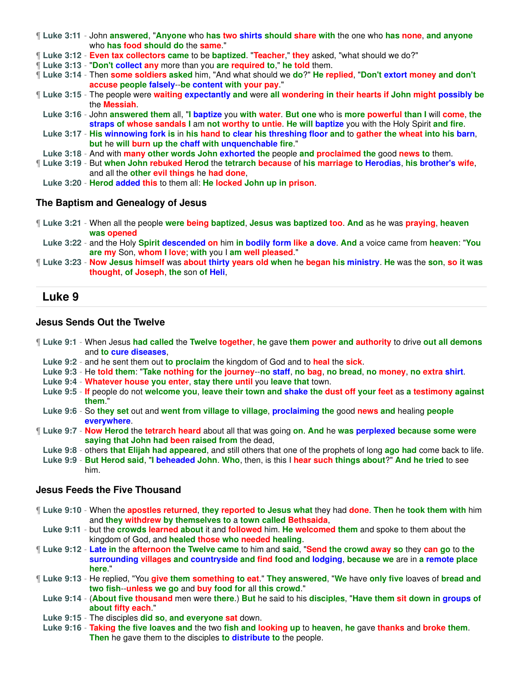- ¶ **Luke 3:11** John **answered**, "**Anyone** who **has two shirts should share with** the one who **has none**, **and anyone** who **has food should do** the **same**."
- ¶ **Luke 3:12 Even tax collectors came** to be **baptized**. "**Teacher**," **they** asked, "what should we do?"
- ¶ **Luke 3:13** "**Don't collect any** more than you **are required to**," **he told** them.
- ¶ **Luke 3:14** Then **some soldiers asked** him, "And what should we **do**?" **He replied**, "**Don't extort money and don't accuse people falsely**--**be content with your pay**."
- ¶ **Luke 3:15** The people were **waiting expectantly and** were **all wondering in their hearts if John might possibly be** the **Messiah**.
- **Luke 3:16** John **answered them** all, "**I baptize** you **with water**. **But one** who is **more powerful than I** will **come**, **the straps of whose sandals I** am **not worthy to untie**. **He will baptize** you with the Holy Spirit **and fire**.
- Luke 3:17 His winnowing fork is in his hand to clear his threshing floor and to gather the wheat into his barn, **but** he **will burn up the chaff with unquenchable fire**."
- **Luke 3:18** And with **many other words John exhorted the** people **and proclaimed the** good **news to** them.
- ¶ **Luke 3:19** But **when John rebuked Herod** the **tetrarch because** of **his marriage to Herodias**, **his brother's wife**, and all the **other evil things** he **had done**,
	- **Luke 3:20 Herod added this** to them all: **He locked John up in prison**.

### **The Baptism and Genealogy of Jesus**

- ¶ **Luke 3:21** When all the people **were being baptized**, **Jesus was baptized too**. **And** as he was **praying**, **heaven was opened**
- **Luke 3:22** and the Holy **Spirit descended on** him **in bodily form like a dove**. **And** a voice came from **heaven**: "**You are my** Son, **whom I love**; **with** you I **am well pleased**."
- ¶ **Luke 3:23 Now Jesus himself** was **about thirty years old when** he **began his ministry**. **He** was the **son**, **so it was thought**, **of Joseph**, **the** son **of Heli**,

# **Luke 9**

### **Jesus Sends Out the Twelve**

- ¶ **Luke 9:1** When Jesus **had called** the **Twelve together**, **he** gave **them power and authority** to drive **out all demons** and **to cure diseases**,
	- **Luke 9:2** and he sent them out **to proclaim** the kingdom of God and to **heal** the **sick**.
	- Luke 9:3 He told them: "Take nothing for the journey--no staff, no bag, no bread, no money, no extra shirt.
	- **Luke 9:4 Whatever house you enter**, **stay there until** you **leave that** town.
	- **Luke 9:5 If** people do not **welcome you**, **leave their town and shake the dust off your feet** as **a testimony against them**."
	- **Luke 9:6** So **they set** out and **went from village to village**, **proclaiming the** good **news and** healing **people everywhere**.
- ¶ **Luke 9:7 Now Herod** the **tetrarch heard** about all that was going **on**. **And** he **was perplexed because some were saying that John had been raised from** the dead,
	- **Luke 9:8** others **that Elijah had appeared**, and still others that one of the prophets of long **ago had** come back to life.
	- **Luke 9:9 But Herod said**, "**I beheaded John**. **Who**, then, is this I **hear such things about**?" **And he tried** to see him.

## **Jesus Feeds the Five Thousand**

- ¶ **Luke 9:10** When the **apostles returned**, **they reported to Jesus what** they had **done**. **Then** he **took them with** him and **they withdrew by themselves to** a **town called Bethsaida**,
- **Luke 9:11** but the **crowds learned about** it and **followed** him. **He welcomed them** and spoke to them about the kingdom of God, and **healed those who needed healing**.
- ¶ **Luke 9:12 Late in** the **afternoon the Twelve came** to him and **said**, "**Send the crowd away so** they **can go** to **the surrounding villages and countryside and find food and lodging**, **because we** are in **a remote place here**."
- ¶ **Luke 9:13** He replied, "You **give them something to eat**." **They answered**, "**We** have **only five** loaves of **bread and two fish**--**unless we go** and **buy food for** all **this crowd**."
	- **Luke 9:14** (**About five thousand** men were **there**.) **But** he said to his **disciples**, "**Have them sit down in groups of about fifty each**."
	- **Luke 9:15** The disciples **did so**, **and everyone sat** down.
	- **Luke 9:16 Taking the five loaves and** the two **fish and looking up** to **heaven**, **he** gave **thanks** and **broke them**. **Then** he gave them to the disciples **to distribute to** the people.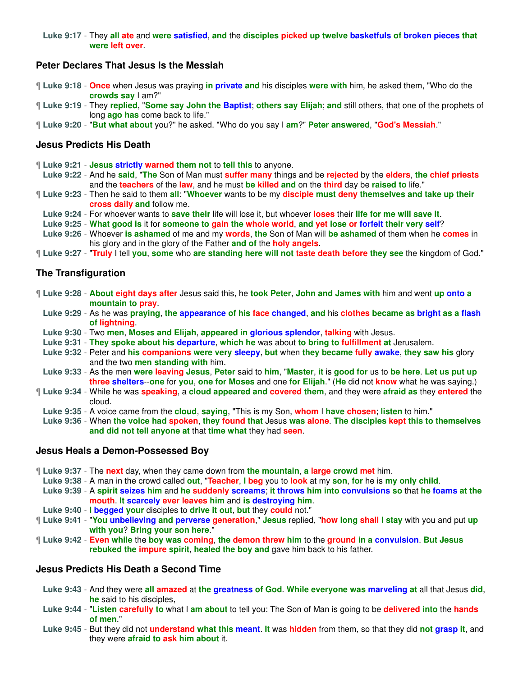#### **Luke 9:17** - They **all ate** and **were satisfied**, **and** the **disciples picked up twelve basketfuls of broken pieces that were left over**.

### **Peter Declares That Jesus Is the Messiah**

- ¶ **Luke 9:18 Once** when Jesus was praying **in private and** his disciples **were with** him, he asked them, "Who do the **crowds say** I am?"
- ¶ **Luke 9:19** They **replied**, "**Some say John the Baptist**; **others say Elijah**; **and** still others, that one of the prophets of long **ago has** come back to life."
- ¶ **Luke 9:20** "**But what about** you?" he asked. "Who do you say I **am**?" **Peter answered**, "**God's Messiah**."

#### **Jesus Predicts His Death**

- ¶ **Luke 9:21 Jesus strictly warned them not** to **tell this** to anyone.
- **Luke 9:22** And he **said**, "**The** Son of Man must **suffer many** things and be **rejected** by the **elders**, **the chief priests** and the **teachers** of the **law**, and he must **be killed and** on the **third** day be **raised to** life."
- ¶ **Luke 9:23** Then he said to them **all**: "**Whoever** wants to be my **disciple must deny themselves and take up their cross daily and** follow me.
- **Luke 9:24** For whoever wants to **save their** life will lose it, but whoever **loses** their **life for me will save it**.
- **Luke 9:25 What good is** it for **someone to gain the whole world**, **and yet lose or forfeit their very self**?
- **Luke 9:26** Whoever **is ashamed** of me and my **words**, **the** Son of Man will **be ashamed** of them when he **comes** in his glory and in the glory of the Father **and of** the **holy angels**.
- ¶ **Luke 9:27** "**Truly** I tell **you**, **some** who **are standing here will not taste death before they see** the kingdom of God."

### **The Transfiguration**

- ¶ **Luke 9:28 About eight days after** Jesus said this, he **took Peter**, **John and James with** him and went **up onto a mountain to pray**.
	- **Luke 9:29** As he was **praying**, **the appearance of his face changed**, **and** his **clothes became as bright as a flash of lightning**.
	- **Luke 9:30** Two **men**, **Moses and Elijah**, **appeared in glorious splendor**, **talking** with Jesus.
	- **Luke 9:31 They spoke about his departure**, **which he** was about **to bring to fulfillment at** Jerusalem.
	- **Luke 9:32** Peter and **his companions were very sleepy**, **but** when **they became fully awake**, **they saw his** glory and the two **men standing with** him.
	- **Luke 9:33** As the men **were leaving Jesus**, **Peter** said to **him**, "**Master**, **it** is **good for** us to **be here**. **Let us put up three shelters**--**one** for **you**, **one for Moses** and one **for Elijah**." (**He** did not **know** what he was saying.)
- ¶ **Luke 9:34** While he was **speaking**, a **cloud appeared and covered them**, and they were **afraid as** they **entered** the cloud.
- **Luke 9:35** A voice came from the **cloud**, **saying**, "This is my Son, **whom** I **have chosen**; **listen** to him."
- **Luke 9:36** When **the voice had spoken**, **they found that** Jesus **was alone**. **The disciples kept this to themselves and did not tell anyone at** that **time what** they had **seen**.

#### **Jesus Heals a Demon-Possessed Boy**

- ¶ **Luke 9:37** The **next** day, when they came down from **the mountain**, **a large crowd met** him.
- **Luke 9:38** A man in the crowd called **out**, "**Teacher**, **I beg** you to **look** at my **son**, **for** he is **my only child**.
- **Luke 9:39** A **spirit seizes him** and **he suddenly screams**; **it throws him into convulsions so** that **he foams at the mouth**. **It scarcely ever leaves him** and **is destroying him**.
- **Luke 9:40 I begged your** disciples to **drive it out**, **but** they **could** not."
- ¶ **Luke 9:41** "**You unbelieving and perverse generation**," **Jesus** replied, "**how long shall I stay** with you and put **up with you**? **Bring your son here**."
- ¶ **Luke 9:42 Even while** the **boy was coming**, **the demon threw him** to the **ground in a convulsion**. **But Jesus rebuked the impure spirit**, **healed the boy and** gave him back to his father.

#### **Jesus Predicts His Death a Second Time**

- **Luke 9:43** And they were **all amazed** at **the greatness of God**. **While everyone was marveling at** all that Jesus **did**, **he** said to his disciples,
- **Luke 9:44** "**Listen carefully to** what I **am about** to tell you: The Son of Man is going to be **delivered into** the **hands of men**."
- **Luke 9:45** But they did not **understand what this meant**. **It** was **hidden** from them, so that they did **not grasp it**, and they were **afraid to ask him about** it.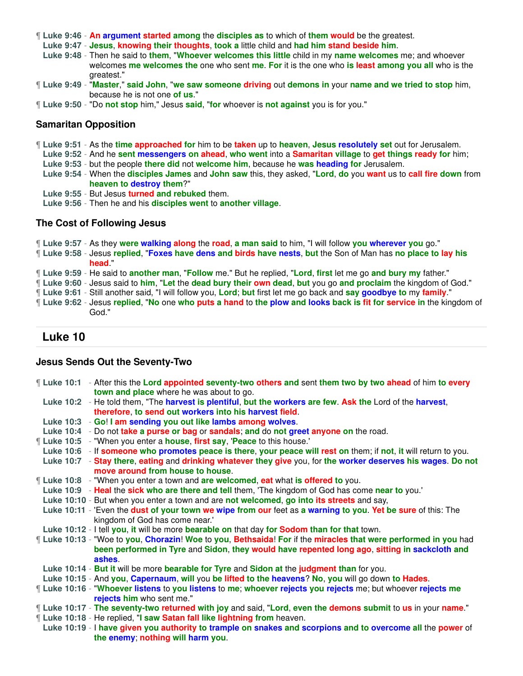- ¶ **Luke 9:46 An argument started among** the **disciples as** to which of **them would** be the greatest.
- **Luke 9:47 Jesus**, **knowing their thoughts**, **took a** little child and **had him stand beside him**.
- **Luke 9:48** Then he said to **them**, "**Whoever welcomes this little** child in my **name welcomes** me; and whoever welcomes **me welcomes the** one who sent **me**. **For** it is the one who **is least among you all** who is the greatest."
- ¶ **Luke 9:49** "**Master**," **said John**, "**we saw someone driving** out **demons in** your **name and we tried to stop** him, because he is not one **of us**."
- ¶ **Luke 9:50** "Do **not stop** him," Jesus **said**, "**for** whoever is **not against** you is for you."

### **Samaritan Opposition**

- ¶ **Luke 9:51** As the **time approached for** him to be **taken** up to **heaven**, **Jesus resolutely set** out for Jerusalem.
	- **Luke 9:52** And he **sent messengers on ahead**, **who went** into a **Samaritan village** to **get things ready for** him;
- **Luke 9:53** but the people **there did** not **welcome him**, because he **was heading for** Jerusalem.
- **Luke 9:54** When the **disciples James** and **John saw** this, they asked, "**Lord**, **do** you **want** us to **call fire down** from **heaven to destroy them**?"
- **Luke 9:55** But Jesus **turned and rebuked** them.
- **Luke 9:56** Then he and his **disciples went** to **another village**.

#### **The Cost of Following Jesus**

¶ **Luke 9:57** - As they **were walking along** the **road**, **a man said** to him, "I will follow **you wherever you** go."

- ¶ **Luke 9:58** Jesus **replied**, "**Foxes have dens and birds have nests**, **but** the Son of Man has **no place to lay his head**."
- ¶ **Luke 9:59** He said to **another man**, "**Follow** me." But he replied, "**Lord**, **first** let me go **and bury my** father."
- ¶ **Luke 9:60** Jesus said to **him**, "**Let** the **dead bury their own dead**, **but** you go **and proclaim** the kingdom of God."
- ¶ **Luke 9:61** Still another said, "I will follow you, **Lord**; **but** first let me go back and **say goodbye to** my **family**."
- If Luke 9:62 Jesus replied, "No one who puts a hand to the plow and looks back is fit for service in the kingdom of God."

## **Luke 10**

### **Jesus Sends Out the Seventy-Two**

| Luke 10:1 - After this the Lord appointed seventy-two others and sent them two by two ahead of him to every      |  |
|------------------------------------------------------------------------------------------------------------------|--|
| town and place where he was about to go.                                                                         |  |
| Luke 10:2 - He told them, "The harvest is plentiful, but the workers are few. Ask the Lord of the harvest,       |  |
| therefore, to send out workers into his harvest field.                                                           |  |
| Luke 10:3 - Go! I am sending you out like lambs among wolves.                                                    |  |
| Luke 10:4 - Do not take a purse or bag or sandals; and do not greet anyone on the road.                          |  |
| "Luke 10:5 - "When you enter a house, first say, 'Peace to this house.'                                          |  |
| Luke 10:6 - If someone who promotes peace is there, your peace will rest on them; if not, it will return to you. |  |
| Luke 10:7 - Stay there, eating and drinking whatever they give you, for the worker deserves his wages. Do not    |  |
| move around from house to house.                                                                                 |  |
| ¶ Luke 10:8 - "When you enter a town and are welcomed, eat what is offered to you.                               |  |
| Luke 10:9 - Heal the sick who are there and tell them, 'The kingdom of God has come near to you.'                |  |
| Luke 10:10 - But when you enter a town and are not welcomed, go into its streets and say,                        |  |
| Luke 10:11 - 'Even the dust of your town we wipe from our feet as a warning to you. Yet be sure of this: The     |  |
| kingdom of God has come near.'                                                                                   |  |
| Luke 10:12 - I tell you, it will be more bearable on that day for Sodom than for that town.                      |  |
| If Luke 10:13 - "Woe to you, Chorazin! Woe to you, Bethsaida! For if the miracles that were performed in you had |  |
| been performed in Tyre and Sidon, they would have repented long ago, sitting in sackcloth and                    |  |
| ashes.                                                                                                           |  |
| Luke 10:14 - But it will be more bearable for Tyre and Sidon at the judgment than for you.                       |  |
| Luke 10:15 - And you, Capernaum, will you be lifted to the heavens? No, you will go down to Hades.               |  |
| ¶ Luke 10:16 - "Whoever listens to you listens to me; whoever rejects you rejects me; but whoever rejects me     |  |
| rejects him who sent me."                                                                                        |  |
| "Luke 10:17 - The seventy-two returned with joy and said, "Lord, even the demons submit to us in your name."     |  |
| If Luke 10:18 - He replied, "I saw Satan fall like lightning from heaven.                                        |  |
| Luke 10:19 - I have given you authority to trample on snakes and scorpions and to overcome all the power of      |  |
| the enemy; nothing will harm you.                                                                                |  |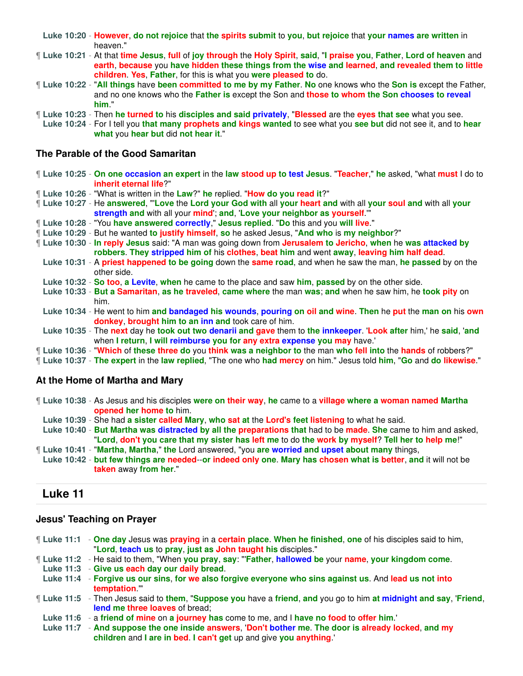**Luke 10:20** - **However**, **do not rejoice** that **the spirits submit** to **you**, **but rejoice** that **your names are written** in heaven."

¶ **Luke 10:21** - At that **time Jesus**, **full** of **joy through** the **Holy Spirit**, **said**, "**I praise you**, **Father**, **Lord of heaven** and **earth**, **because** you **have hidden these things from the wise and learned**, **and revealed them to little children**. **Yes**, **Father**, for this is what you **were pleased to** do.

- ¶ **Luke 10:22** "**All things** have **been committed to me by my Father**. **No** one knows who the **Son is** except the Father, and no one knows who the **Father is** except the Son and **those to whom the Son chooses to reveal him**."
- ¶ **Luke 10:23** Then **he turned to** his **disciples and said privately**, "**Blessed** are the **eyes that see** what you see.
	- **Luke 10:24** For I tell you **that many prophets and kings wanted** to see what you **see but** did not see it, and to **hear what** you **hear but** did **not hear it**."

### **The Parable of the Good Samaritan**

¶ **Luke 10:25** - **On one occasion an expert** in the **law stood up to test Jesus**. "**Teacher**," **he** asked, "what **must** I do to **inherit eternal life**?"

- ¶ **Luke 10:26** "What is written in the **Law**?" **he** replied. "**How do you read it**?"
- ¶ **Luke 10:27** He **answered**, "'**Love** the **Lord your God with** all **your heart and** with all **your soul and** with all **your strength and** with all your **mind**'; **and**, '**Love your neighbor as yourself**.'"
- ¶ **Luke 10:28** "You **have answered correctly**," **Jesus replied**. "**Do** this and you **will live**."
- ¶ **Luke 10:29** But he wanted **to justify himself**, **so** he asked Jesus, "**And who** is **my neighbor**?"
- ¶ **Luke 10:30 In reply Jesus** said: "A man was going down from **Jerusalem to Jericho**, **when** he **was attacked by robbers**. **They stripped him of** his **clothes**, **beat him** and went **away**, **leaving him half dead**.
	- **Luke 10:31** A **priest happened to be going** down the **same road**, and when he saw the man, **he passed** by on the other side.
	- **Luke 10:32 So too**, **a Levite**, **when** he came to the place and saw **him**, **passed** by on the other side.
	- **Luke 10:33 But a Samaritan**, **as he traveled**, **came where** the man **was**; **and** when he saw him, he **took pity** on him.
	- **Luke 10:34** He went to him **and bandaged his wounds**, **pouring on oil and wine**. **Then** he **put** the **man on** his **own donkey**, **brought him to an inn and** took care of him.
- **Luke 10:35** The **next** day he **took out two denarii and gave** them to **the innkeeper**. '**Look after** him,' he **said**, '**and** when **I return**, **I will reimburse you for any extra expense you may** have.'
- ¶ **Luke 10:36** "**Which** of **these three do** you **think was a neighbor to** the man **who fell into** the **hands** of robbers?"

¶ **Luke 10:37** - **The expert** in the **law replied**, "The one who **had mercy** on him." Jesus told **him**, "**Go** and **do likewise**."

### **At the Home of Martha and Mary**

- ¶ **Luke 10:38** As Jesus and his disciples **were on their way**, **he** came to a **village where a woman named Martha opened her home to** him.
- **Luke 10:39** She had **a sister called Mary**, **who sat at** the **Lord's feet listening** to what he said.
- **Luke 10:40 But Martha was distracted by all the preparations that** had to be **made**. **She** came to him and asked, "**Lord**, **don't you care that my sister has left me** to do **the work by myself**? **Tell her to help me**!"
- ¶ **Luke 10:41** "**Martha**, **Martha**," **the** Lord answered, "you **are worried and upset about many** things,
- **Luke 10:42 but few things are needed**--**or indeed only one**. **Mary has chosen what is better**, **and** it will not be **taken** away **from her**."

# **Luke 11**

### **Jesus' Teaching on Prayer**

- ¶ **Luke 11:1 One day** Jesus was **praying** in a **certain place**. **When he finished**, **one** of his disciples said to him, "**Lord**, **teach us** to **pray**, **just as John taught his** disciples."
- ¶ **Luke 11:2** He said to them, "When **you pray**, **say**: "'**Father**, **hallowed be** your **name**, **your kingdom come**.
- **Luke 11:3 Give us each day our daily bread**.
- **Luke 11:4 Forgive us our sins**, **for we also forgive everyone who sins against us**. And **lead us not into temptation**.'"
- ¶ **Luke 11:5** Then Jesus said to **them**, "**Suppose you** have a **friend**, **and** you go to him **at midnight and say**, '**Friend**, **lend me three loaves** of bread;
- **Luke 11:6** a **friend of mine** on **a journey has** come to me, and I **have no food** to **offer him**.'

**Luke 11:7** - **And suppose the one inside answers**, '**Don't bother me**. **The door is already locked**, **and my children** and **I are in bed**. **I can't get** up and give **you anything**.'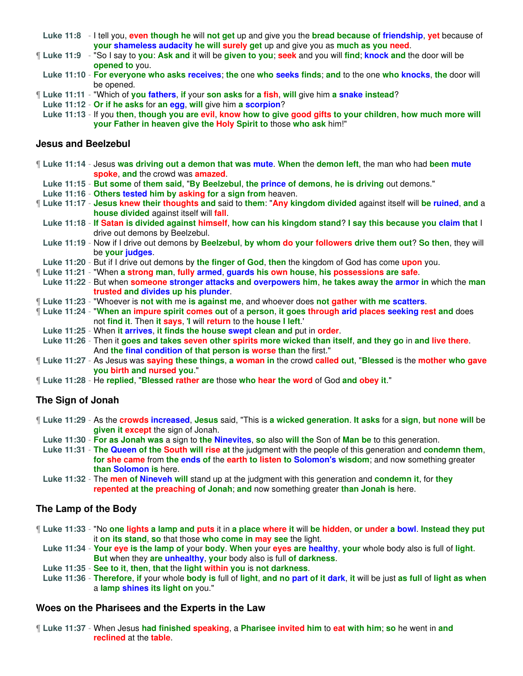- **Luke 11:8** I tell you, **even though he** will **not get** up and give you the **bread because of friendship**, **yet** because of **your shameless audacity he will surely get** up and give you as **much as you need**.
- ¶ **Luke 11:9** "So I say to **you**: **Ask and** it will be **given to you**; **seek** and you will **find**; **knock and** the door will be **opened to** you.
- **Luke 11:10 For everyone who asks receives**; **the** one **who seeks finds**; **and** to the one **who knocks**, **the** door will be opened.
- ¶ **Luke 11:11** "Which of **you fathers**, **if** your **son asks** for **a fish**, **will** give him **a snake instead**?
- **Luke 11:12 Or if he asks** for **an egg**, **will** give him **a scorpion**?

**Luke 11:13** - If you **then**, **though you are evil**, **know how to give good gifts to your children**, **how much more will your Father in heaven give the Holy Spirit to** those **who ask** him!"

#### **Jesus and Beelzebul**

- ¶ **Luke 11:14** Jesus **was driving out a demon that was mute**. **When** the **demon left**, the man who had **been mute spoke**, **and** the crowd was **amazed**.
- **Luke 11:15 But some** of **them said**, "**By Beelzebul**, **the prince of demons**, **he is driving** out demons."
- **Luke 11:16 Others tested him by asking for** a **sign from** heaven.
- ¶ **Luke 11:17 Jesus knew their thoughts and** said to **them**: "**Any kingdom divided** against itself will **be ruined**, **and** a **house divided** against itself will **fall**.
- **Luke 11:18 If Satan is divided against himself**, **how can his kingdom stand**? **I say this because you claim that** I drive out demons by Beelzebul.
- **Luke 11:19** Now if I drive out demons by **Beelzebul**, **by whom do your followers drive them out**? **So then**, they will be **your judges**.
- **Luke 11:20** But if I drive out demons by **the finger of God**, **then** the kingdom of God has come **upon** you.
- ¶ **Luke 11:21** "When **a strong man**, **fully armed**, **guards his own house**, **his possessions are safe**.
- **Luke 11:22** But when **someone stronger attacks and overpowers him**, **he takes away the armor in** which the **man trusted and divides up his plunder**.
- ¶ **Luke 11:23** "Whoever is **not with** me **is against me**, and whoever does **not gather with me scatters**.
- ¶ **Luke 11:24** "**When an impure spirit comes out** of a **person**, **it goes through arid places seeking rest and** does not **find it**. Then **it says**, '**I** will **return** to the **house I left**.'
	- **Luke 11:25** When **it arrives**, **it finds the house swept clean and** put in **order**.
	- **Luke 11:26** Then it **goes and takes seven other spirits more wicked than itself**, **and they go** in **and live there**. And **the final condition of that person is worse than** the first."
- ¶ **Luke 11:27** As Jesus was **saying these things**, **a woman in** the crowd **called out**, "**Blessed** is the **mother who gave you birth and nursed you**."
- ¶ **Luke 11:28** He **replied**, "**Blessed rather are** those **who hear the word** of God **and obey it**."

### **The Sign of Jonah**

- ¶ **Luke 11:29** As the **crowds increased**, **Jesus** said, "This is **a wicked generation**. **It asks** for a **sign**, **but none will** be **given it except** the sign of Jonah.
	- **Luke 11:30 For as Jonah was** a sign to **the Ninevites**, **so** also **will the** Son of **Man be** to this generation.
	- **Luke 11:31 The Queen of the South will rise at** the judgment with the people of this generation and **condemn them**, **for she came** from **the ends of** the **earth to listen to Solomon's wisdom**; and now something greater **than Solomon is** here.
	- **Luke 11:32** The **men of Nineveh will** stand up at the judgment with this generation and **condemn it**, for **they repented at the preaching of Jonah**; **and** now something greater **than Jonah is** here.

### **The Lamp of the Body**

- ¶ **Luke 11:33** "No **one lights a lamp and puts** it in **a place where it** will **be hidden**, **or under a bowl**. **Instead they put** it **on its stand**, **so** that those **who come in may see** the light.
	- **Luke 11:34 Your eye is the lamp of** your **body**. **When** your **eyes are healthy**, **your** whole body also is full of **light**. **But** when they **are unhealthy**, **your** body also is full **of darkness**.
	- **Luke 11:35 See to it**, **then**, **that** the **light within you** is **not darkness**.
	- **Luke 11:36 Therefore**, **if** your whole **body is** full of **light**, **and no part of it dark**, **it** will be just **as full** of **light as when** a **lamp shines its light on** you."

### **Woes on the Pharisees and the Experts in the Law**

¶ **Luke 11:37** - When Jesus **had finished speaking**, a **Pharisee invited him** to **eat with him**; **so** he went in **and reclined** at the **table**.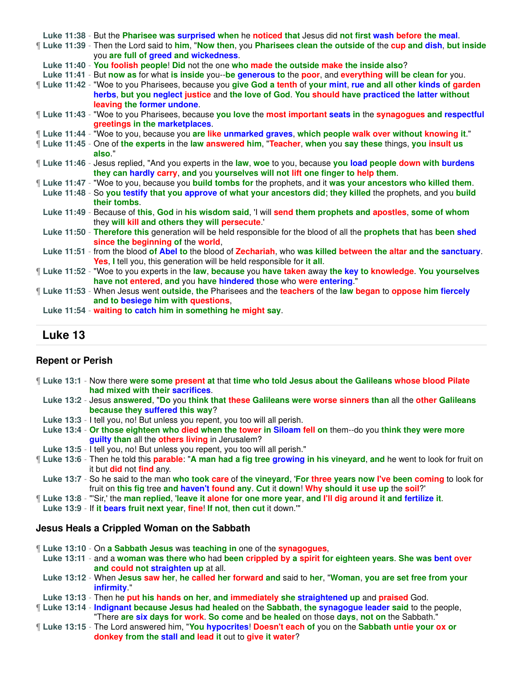|  | Luke 11:38 - But the Pharisee was surprised when he noticed that Jesus did not first wash before the meal.                                                  |
|--|-------------------------------------------------------------------------------------------------------------------------------------------------------------|
|  | Luke 11:39 - Then the Lord said to him, "Now then, you Pharisees clean the outside of the cup and dish, but inside<br>you are full of greed and wickedness. |
|  | Luke 11:40 - You foolish people! Did not the one who made the outside make the inside also?                                                                 |
|  | Luke 11:41 - But now as for what is inside you--be generous to the poor, and everything will be clean for you.                                              |
|  | I Luke 11:42 - "Woe to you Pharisees, because you give God a tenth of your mint, rue and all other kinds of garden                                          |
|  | herbs, but you neglect justice and the love of God. You should have practiced the latter without                                                            |
|  | leaving the former undone.                                                                                                                                  |
|  | I Luke 11:43 - "Woe to you Pharisees, because you love the most important seats in the synagogues and respectful                                            |
|  | greetings in the marketplaces.                                                                                                                              |
|  | [Luke 11:44 - "Woe to you, because you are like unmarked graves, which people walk over without knowing it."                                                |
|  | If Luke 11:45 - One of the experts in the law answered him, "Teacher, when you say these things, you insult us                                              |
|  | also."                                                                                                                                                      |
|  | If Luke 11:46 - Jesus replied, "And you experts in the law, woe to you, because you load people down with burdens                                           |
|  | they can hardly carry, and you yourselves will not lift one finger to help them.                                                                            |
|  | If Luke 11:47 - "Woe to you, because you build tombs for the prophets, and it was your ancestors who killed them.                                           |
|  | Luke 11:48 - So you testify that you approve of what your ancestors did; they killed the prophets, and you build                                            |
|  | their tombs.                                                                                                                                                |
|  | Luke 11:49 - Because of this, God in his wisdom said, 'I will send them prophets and apostles, some of whom                                                 |
|  | they will kill and others they will persecute.                                                                                                              |
|  | Luke 11:50 - Therefore this generation will be held responsible for the blood of all the prophets that has been shed<br>since the beginning of the world,   |
|  | Luke 11:51 - from the blood of Abel to the blood of Zechariah, who was killed between the altar and the sanctuary.                                          |
|  | Yes, I tell you, this generation will be held responsible for it all.                                                                                       |
|  | Luke 11:52 - "Woe to you experts in the law, because you have taken away the key to knowledge. You yourselves                                               |
|  | have not entered, and you have hindered those who were entering."                                                                                           |
|  | Luke 11:53 - When Jesus went outside, the Pharisees and the teachers of the law began to oppose him fiercely                                                |
|  | and to besiege him with questions,                                                                                                                          |
|  | Luke 11:54 - waiting to catch him in something he might say.                                                                                                |
|  |                                                                                                                                                             |

## **Luke 13**

### **Repent or Perish**

- ¶ **Luke 13:1** Now there **were some present at** that **time who told Jesus about the Galileans whose blood Pilate had mixed with their sacrifices**.
- **Luke 13:2** Jesus **answered**, "**Do** you **think that these Galileans were worse sinners than** all the **other Galileans because they suffered this way**?
- **Luke 13:3** I tell you, no! But unless you repent, you too will all perish.
- **Luke 13:4 Or those eighteen who died when the tower in Siloam fell on** them--do you **think they were more guilty than** all the **others living** in Jerusalem?
- **Luke 13:5** I tell you, no! But unless you repent, you too will all perish."
- ¶ **Luke 13:6** Then he told this **parable**: "**A man had a fig tree growing in his vineyard**, **and** he went to look for fruit on it but **did** not **find** any.
- **Luke 13:7** So he said to the man **who took care** of **the vineyard**, '**For three years now I've been coming** to look for fruit on **this fig** tree **and haven't found any**. **Cut** it **down**! **Why should it use up** the **soil**?'
- ¶ **Luke 13:8** "'Sir,' the **man replied**, '**leave it alone for one more year**, **and I'll dig around it and fertilize it**.
- **Luke 13:9** If **it bears fruit next year**, **fine**! **If not**, **then cut** it down.'"

### **Jesus Heals a Crippled Woman on the Sabbath**

- ¶ **Luke 13:10** On **a Sabbath Jesus** was **teaching in** one of the **synagogues**,
- **Luke 13:11** and a **woman was there who** had **been crippled by a spirit for eighteen years**. **She was bent over and could not straighten up** at all.
- **Luke 13:12** When **Jesus saw her**, **he called her forward and** said to **her**, "**Woman**, **you are set free from your infirmity**."
- **Luke 13:13** Then he **put his hands on her**, **and immediately she straightened up** and **praised** God.
- ¶ **Luke 13:14 Indignant because Jesus had healed** on the **Sabbath**, **the synagogue leader said** to the people, "There **are six days for work**. **So come** and **be healed** on those **days**, **not on** the Sabbath."
- ¶ **Luke 13:15** The Lord answered him, "**You hypocrites**! **Doesn't each of** you on the **Sabbath untie your ox or donkey from the stall and lead it** out to **give it water**?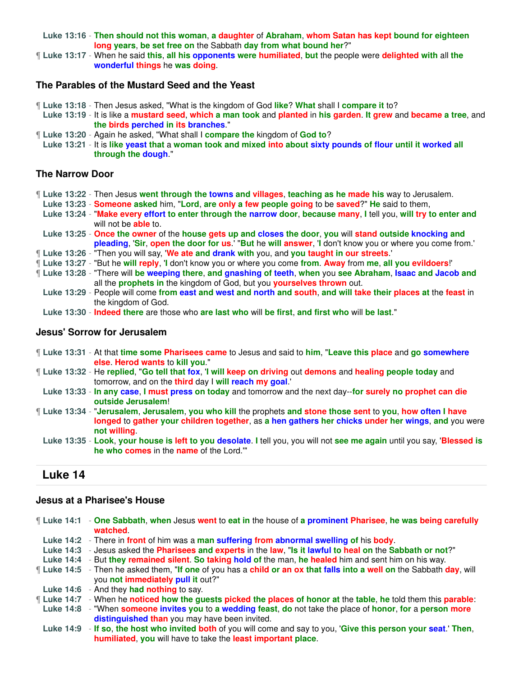**Luke 13:16** - **Then should not this woman**, **a daughter** of **Abraham**, **whom Satan has kept bound for eighteen long years**, **be set free on** the Sabbath **day from what bound her**?"

¶ **Luke 13:17** - When he said **this**, **all his opponents were humiliated**, **but** the people were **delighted with** all **the wonderful things** he **was doing**.

#### **The Parables of the Mustard Seed and the Yeast**

- ¶ **Luke 13:18** Then Jesus asked, "What is the kingdom of God **like**? **What** shall I **compare it** to?
- **Luke 13:19** It is like a **mustard seed**, **which a man took** and **planted** in **his garden**. **It grew** and **became a tree**, and **the birds perched in its branches**."
- ¶ **Luke 13:20** Again he asked, "What shall I **compare the** kingdom of **God to**?
- **Luke 13:21** It is **like yeast that** a **woman took and mixed into about sixty pounds of flour until it worked all through the dough**."

#### **The Narrow Door**

- ¶ **Luke 13:22** Then Jesus **went through the towns and villages**, **teaching as he made his** way to Jerusalem.
- **Luke 13:23 Someone asked** him, "**Lord**, **are only a few people going** to be **saved**?" **He** said to them,
- **Luke 13:24** "**Make every effort to enter through the narrow door**, **because many**, **I** tell you, **will try to enter and** will not be **able** to.
- **Luke 13:25 Once the owner** of the **house gets up and closes the door**, **you** will **stand outside knocking and pleading**, '**Sir**, **open the door for us**.' "**But** he **will answer**, '**I** don't know you or where you come from.'
- ¶ **Luke 13:26** "Then you will say, '**We ate and drank with** you, and **you taught in our streets**.'
- ¶ **Luke 13:27** "But he **will reply**, '**I** don't know you or where you come **from**. **Away** from **me**, **all you evildoers**!' ¶ **Luke 13:28** - "There will **be weeping there**, **and gnashing of teeth**, **when** you **see Abraham**, **Isaac and Jacob and** all the **prophets in** the kingdom of God, but you **yourselves thrown** out.
	- **Luke 13:29** People will come **from east and west and north and south**, **and will take their places at** the **feast** in the kingdom of God.
	- **Luke 13:30 Indeed there** are those who **are last who** will **be first**, **and first who** will **be last**."

#### **Jesus' Sorrow for Jerusalem**

- ¶ **Luke 13:31** At that **time some Pharisees came** to Jesus and said to **him**, "**Leave this place** and **go somewhere else**. **Herod wants** to **kill you**."
- ¶ **Luke 13:32** He **replied**, "**Go tell that fox**, '**I will keep on driving** out **demons** and **healing people today** and tomorrow, and on the **third** day I **will reach my goal**.'
	- **Luke 13:33 In any case**, **I must press on today** and tomorrow and the next day--**for surely no prophet can die outside Jerusalem**!
- ¶ **Luke 13:34** "**Jerusalem**, **Jerusalem**, **you who kill** the prophets **and stone those sent** to **you**, **how often I have longed** to **gather your children together**, as **a hen gathers her chicks under her wings**, **and** you were **not willing**.
	- **Luke 13:35 Look**, **your house is left to you desolate**. **I** tell you, you will not **see me again** until you say, '**Blessed is he who comes** in the **name** of the Lord.'"

## **Luke 14**

#### **Jesus at a Pharisee's House**

- ¶ **Luke 14:1 One Sabbath**, **when** Jesus **went** to **eat in** the house of **a prominent Pharisee**, **he was being carefully watched**.
- **Luke 14:2** There in **front** of him was a **man suffering from abnormal swelling of** his **body**.
- **Luke 14:3** Jesus asked the **Pharisees and experts** in the **law**, "**Is it lawful to heal on** the **Sabbath or not**?"
- **Luke 14:4** But **they remained silent**. **So taking hold of** the man, **he healed** him and sent him on his way.
- ¶ **Luke 14:5** Then he asked them, "**If one** of you has a **child or an ox that falls into a well on** the Sabbath **day**, will you **not immediately pull it** out?"
- **Luke 14:6** And they **had nothing** to say.
- ¶ **Luke 14:7** When he **noticed how the guests picked the places of honor at** the **table**, **he** told them this **parable**:
- **Luke 14:8** "When **someone invites you** to **a wedding feast**, **do** not take the place of **honor**, **for** a **person more distinguished than** you may have been invited.
- **Luke 14:9 If so**, **the host who invited both** of you will come and say to you, '**Give this person your seat**.' **Then**, **humiliated**, **you** will have to take the **least important place**.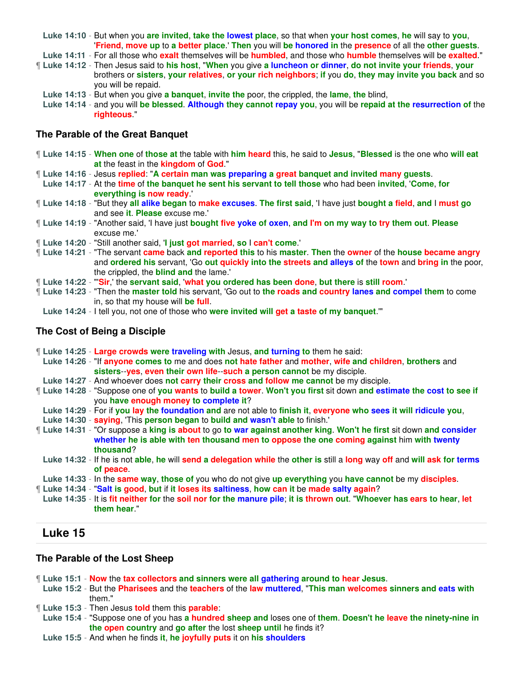**Luke 14:10** - But when you **are invited**, **take the lowest place**, so that when **your host comes**, **he** will say to **you**, '**Friend**, **move up** to **a better place**.' **Then** you will **be honored in** the **presence** of all the **other guests**.

**Luke 14:11** - For all those who **exalt** themselves will be **humbled**, and those who **humble** themselves will be **exalted**."

- ¶ **Luke 14:12** Then Jesus said to **his host**, "**When** you give **a luncheon or dinner**, **do not invite your friends**, **your** brothers or **sisters**, **your relatives**, **or your rich neighbors**; **if** you **do**, **they may invite you back** and so you will be repaid.
	- **Luke 14:13** But when you give **a banquet**, **invite the** poor, the crippled, the **lame**, **the** blind,
	- **Luke 14:14** and you will **be blessed**. **Although they cannot repay you**, you will be **repaid at the resurrection of** the **righteous**."

### **The Parable of the Great Banquet**

- ¶ **Luke 14:15 When one** of **those at** the table with **him heard** this, he said to **Jesus**, "**Blessed** is the one who **will eat at** the feast in the **kingdom** of **God**."
- ¶ **Luke 14:16** Jesus **replied**: "**A certain man was preparing a great banquet and invited many guests**.
	- **Luke 14:17** At the **time** of **the banquet he sent his servant to tell those** who had been **invited**, '**Come**, **for everything is now ready**.'
- ¶ **Luke 14:18** "But they **all alike began** to **make excuses**. **The first said**, 'I have just **bought a field**, **and** I **must go** and see **it**. **Please** excuse me.'
- ¶ **Luke 14:19** "Another said, 'I have just **bought five yoke of oxen**, **and I'm on my way to try them out**. **Please** excuse me.'
- ¶ **Luke 14:20** "Still another said, '**I just got married**, **so** I **can't come**.'
- ¶ **Luke 14:21** "The servant **came** back **and reported this** to his **master**. **Then** the **owner** of the **house became angry** and **ordered his** servant, 'Go **out quickly into the streets and alleys of** the **town** and **bring in** the poor, the crippled, the **blind and** the lame.'
- ¶ **Luke 14:22** "'**Sir**,' the **servant said**, '**what you ordered has been done**, **but there** is **still room**.'
- ¶ **Luke 14:23** "Then the **master told** his servant, 'Go out to **the roads and country lanes and compel them** to come in, so that my house will **be full**.
- **Luke 14:24** I tell you, not one of those who **were invited will get a taste of my banquet**.'"

### **The Cost of Being a Disciple**

¶ **Luke 14:25** - **Large crowds were traveling with** Jesus, **and turning to** them he said: **Luke 14:26** - "If **anyone comes to** me and does **not hate father** and **mother**, **wife and children**, **brothers** and **sisters**--**yes**, **even their own life**--**such a person cannot** be my disciple. **Luke 14:27** - And whoever does **not carry their cross and follow me cannot** be my disciple. ¶ **Luke 14:28** - "Suppose one of **you wants** to **build a tower**. **Won't you first** sit down **and estimate the cost to see if** you **have enough money to complete it**? **Luke 14:29** - For if **you lay the foundation and** are not able to **finish it**, **everyone who sees it will ridicule you**, **Luke 14:30** - **saying**, 'This **person began** to **build and wasn't able** to finish.' ¶ **Luke 14:31** - "Or suppose a **king is about** to go **to war against another king**. **Won't he first** sit down **and consider whether he is able with ten thousand men to oppose the one coming against** him **with twenty thousand**? **Luke 14:32** - If he is not **able**, **he** will **send a delegation while** the **other is** still a **long** way **off** and **will ask for terms of peace**. **Luke 14:33** - In the **same way**, **those of** you who do not give **up everything** you **have cannot** be my **disciples**. ¶ **Luke 14:34** - "**Salt is good**, **but** if **it loses its saltiness**, **how can it** be **made salty again**? **Luke 14:35** - It is **fit neither for** the **soil nor for the manure pile**; **it is thrown out**. "**Whoever has ears to hear**, **let them hear**."

## **Luke 15**

### **The Parable of the Lost Sheep**

- ¶ **Luke 15:1 Now** the **tax collectors and sinners were all gathering around to hear Jesus**.
- **Luke 15:2** But the **Pharisees** and the **teachers** of the **law muttered**, "**This man welcomes sinners and eats with** them."
- ¶ **Luke 15:3** Then Jesus **told** them this **parable**:
	- **Luke 15:4** "Suppose one of you has **a hundred sheep and** loses one of **them**. **Doesn't he leave the ninety-nine in the open country** and **go after** the lost **sheep until** he finds it?
	- **Luke 15:5** And when he finds **it**, **he joyfully puts** it on **his shoulders**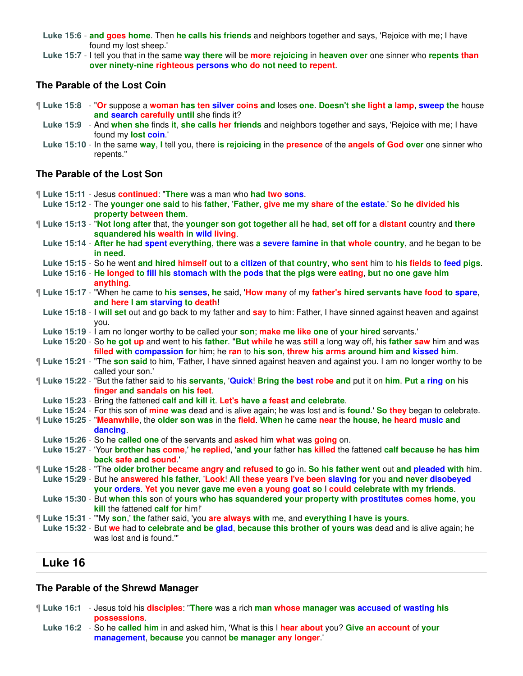**Luke 15:6** - **and goes home**. Then **he calls his friends** and neighbors together and says, 'Rejoice with me; I have found my lost sheep.'

**Luke 15:7** - I tell you that in the same **way there** will be **more rejoicing** in **heaven over** one sinner who **repents than over ninety-nine righteous persons who do not need to repent**.

### **The Parable of the Lost Coin**

- ¶ **Luke 15:8** "**Or** suppose a **woman has ten silver coins and** loses **one**. **Doesn't she light a lamp**, **sweep the** house **and search carefully until** she finds it?
	- **Luke 15:9** And **when she** finds **it**, **she calls her friends** and neighbors together and says, 'Rejoice with me; I have found my **lost coin**.'
	- **Luke 15:10** In the same **way**, **I** tell you, there **is rejoicing** in the **presence** of the **angels of God over** one sinner who repents."

### **The Parable of the Lost Son**

| If Luke 15:11 - Jesus continued: "There was a man who had two sons.<br>Luke 15:12 - The younger one said to his father, 'Father, give me my share of the estate.' So he divided his<br>property between them.                                                                                                                           |
|-----------------------------------------------------------------------------------------------------------------------------------------------------------------------------------------------------------------------------------------------------------------------------------------------------------------------------------------|
| If Luke 15:13 - "Not long after that, the younger son got together all he had, set off for a distant country and there<br>squandered his wealth in wild living.                                                                                                                                                                         |
| Luke 15:14 - After he had spent everything, there was a severe famine in that whole country, and he began to be<br>in need.                                                                                                                                                                                                             |
| Luke 15:15 - So he went and hired himself out to a citizen of that country, who sent him to his fields to feed pigs.<br>Luke 15:16 - He longed to fill his stomach with the pods that the pigs were eating, but no one gave him<br>anything                                                                                             |
| If Luke 15:17 - "When he came to his senses, he said, 'How many of my father's hired servants have food to spare,<br>and here I am starving to death!                                                                                                                                                                                   |
| Luke 15:18 - I will set out and go back to my father and say to him: Father, I have sinned against heaven and against<br>you.                                                                                                                                                                                                           |
| Luke 15:19 - I am no longer worthy to be called your son; make me like one of your hired servants.'<br>Luke 15:20 - So he got up and went to his father. "But while he was still a long way off, his father saw him and was<br>filled with compassion for him; he ran to his son, threw his arms around him and kissed him.             |
| If Luke 15:21 - "The son said to him, 'Father, I have sinned against heaven and against you. I am no longer worthy to be<br>called your son.'                                                                                                                                                                                           |
| If Luke 15:22 - "But the father said to his servants, 'Quick! Bring the best robe and put it on him. Put a ring on his<br>finger and sandals on his feet.                                                                                                                                                                               |
| Luke 15:23 - Bring the fattened calf and kill it. Let's have a feast and celebrate.<br>Luke 15:24 - For this son of mine was dead and is alive again; he was lost and is found.' So they began to celebrate.                                                                                                                            |
| If Luke 15:25 - "Meanwhile, the older son was in the field. When he came near the house, he heard music and<br>dancing.                                                                                                                                                                                                                 |
| Luke 15:26 - So he called one of the servants and asked him what was going on.<br>Luke 15:27 - 'Your brother has come,' he replied, 'and your father has killed the fattened calf because he has him<br>back safe and sound.'                                                                                                           |
| <b>[ Luke 15:28 - "The older brother became angry and refused to go in. So his father went out and pleaded with him.</b><br>Luke 15:29 - But he answered his father, 'Look! All these years I've been slaving for you and never disobeyed<br>your orders. Yet you never gave me even a young goat so I could celebrate with my friends. |
| Luke 15:30 - But when this son of yours who has squandered your property with prostitutes comes home, you<br>kill the fattened calf for him!'                                                                                                                                                                                           |
| [Luke 15:31 - "My son,' the father said, 'you are always with me, and everything I have is yours.<br>Luke 15:32 - But we had to celebrate and be glad, because this brother of yours was dead and is alive again; he<br>was lost and is found.""                                                                                        |
|                                                                                                                                                                                                                                                                                                                                         |

# **Luke 16**

### **The Parable of the Shrewd Manager**

- ¶ **Luke 16:1** Jesus told his **disciples**: "**There** was a rich **man whose manager was accused of wasting his possessions**.
	- **Luke 16:2** So he **called him** in and asked him, 'What is this I **hear about** you? **Give an account** of **your management**, **because** you cannot **be manager any longer**.'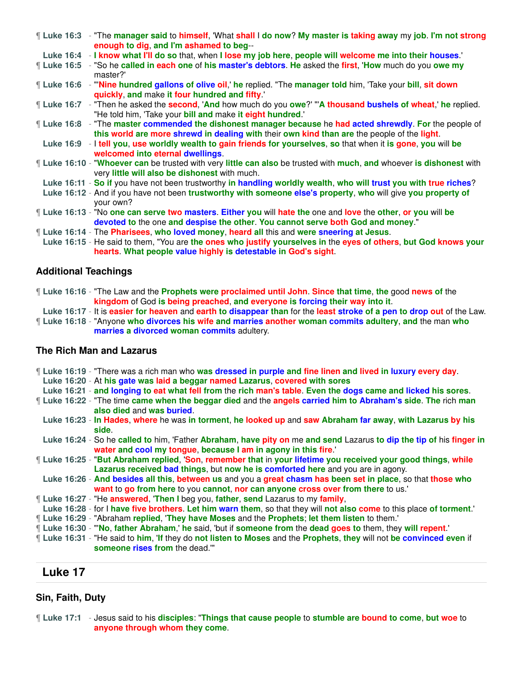|  | ¶ Luke 16:3 - "The manager said to himself, 'What shall I do now? My master is taking away my job. I'm not strong<br>enough to dig, and I'm ashamed to beg--                                               |
|--|------------------------------------------------------------------------------------------------------------------------------------------------------------------------------------------------------------|
|  | Luke 16:4 - I know what I'll do so that, when I lose my job here, people will welcome me into their houses.                                                                                                |
|  | <b>If Luke 16:5</b> - "So he called in each one of his master's debtors. He asked the first, 'How much do you owe my<br>master?'                                                                           |
|  | Luke 16:6 - "Nine hundred gallons of olive oil,' he replied. "The manager told him, 'Take your bill, sit down<br>quickly, and make it four hundred and fifty."                                             |
|  | [Luke 16:7 - "Then he asked the <b>second, 'And</b> how much do you <b>owe?' "A thousand bushels of wheat,' he</b> replied.<br>"He told him, 'Take your bill and make it eight hundred.'                   |
|  | If Luke 16:8 - "The master commended the dishonest manager because he had acted shrewdly. For the people of<br>this world are more shrewd in dealing with their own kind than are the people of the light. |
|  | Luke 16:9 - I tell you, use worldly wealth to gain friends for yourselves, so that when it is gone, you will be<br>welcomed into eternal dwellings.                                                        |
|  | I Luke 16:10 - "Whoever can be trusted with very little can also be trusted with much, and whoever is dishonest with<br>very little will also be dishonest with much.                                      |
|  | Luke 16:11 - So if you have not been trustworthy in handling worldly wealth, who will trust you with true riches?                                                                                          |
|  | Luke 16:12 - And if you have not been trustworthy with someone else's property, who will give you property of<br>your own?                                                                                 |
|  | If Luke 16:13 - "No one can serve two masters. Either you will hate the one and love the other, or you will be<br>devoted to the one and despise the other. You cannot serve both God and money."          |
|  | <b>Luke 16:14 - The Pharisees, who loved money, heard all this and were sneering at Jesus.</b>                                                                                                             |
|  |                                                                                                                                                                                                            |

**Luke 16:15** - He said to them, "You are **the ones who justify yourselves in** the **eyes of others**, **but God knows your hearts**. **What people value highly is detestable in God's sight**.

### **Additional Teachings**

|                                                                              |  |  | If Luke 16:16 - "The Law and the Prophets were proclaimed until John. Since that time, the good news of the |
|------------------------------------------------------------------------------|--|--|-------------------------------------------------------------------------------------------------------------|
| kingdom of God is being preached, and everyone is forcing their way into it. |  |  |                                                                                                             |

**Luke 16:17** - It is **easier for heaven** and **earth to disappear than** for the **least stroke of a pen to drop out** of the Law.

¶ **Luke 16:18** - "Anyone **who divorces his wife and marries another woman commits adultery**, **and** the man **who marries a divorced woman commits** adultery.

## **The Rich Man and Lazarus**

¶ **Luke 16:19** - "There was a rich man who **was dressed in purple and fine linen and lived in luxury every day**.

**Luke 16:20** - At **his gate was laid a beggar named Lazarus**, **covered with sores**

- **Luke 16:21 and longing to eat what fell from** the **rich man's table**. **Even the dogs came and licked his sores**.
- ¶ **Luke 16:22** "The time **came when the beggar died** and the **angels carried him to Abraham's side**. **The** rich **man also died** and **was buried**.
- **Luke 16:23 In Hades**, **where** he was **in torment**, **he looked up** and **saw Abraham far away**, **with Lazarus by his side**.
- **Luke 16:24** So he **called to** him, 'Father **Abraham**, **have pity on** me **and send** Lazarus **to dip the tip of** his **finger in water and cool my tongue**, **because I am in agony in this fire**.'
- ¶ **Luke 16:25** "**But Abraham replied**, '**Son**, **remember that** in **your lifetime you received your good things**, **while Lazarus received bad things**, but **now he is comforted here** and you are in agony.
- **Luke 16:26 And besides all this**, **between us** and you a **great chasm has been set in place**, so that **those who want** to **go from here** to you **cannot**, **nor can anyone cross over from there** to us.'
- ¶ **Luke 16:27** "He **answered**, '**Then I** beg you, **father**, **send** Lazarus to my **family**,
- **Luke 16:28** for I **have five brothers**. **Let him warn them**, so that they will **not also come** to this place **of torment**.'
- ¶ **Luke 16:29** "Abraham **replied**, '**They have Moses** and the **Prophets**; **let them listen** to them.'
- ¶ **Luke 16:30** "'**No**, **father Abraham**,' **he** said, 'but if **someone from** the **dead goes to** them, they **will repent**.'
- ¶ **Luke 16:31** "He said to **him**, '**If** they do **not listen to Moses** and the **Prophets**, **they** will not **be convinced even** if **someone rises from** the dead.'"

## **Luke 17**

### **Sin, Faith, Duty**

¶ **Luke 17:1** - Jesus said to his **disciples**: "**Things that cause people** to **stumble are bound to come**, **but woe** to **anyone through whom they come**.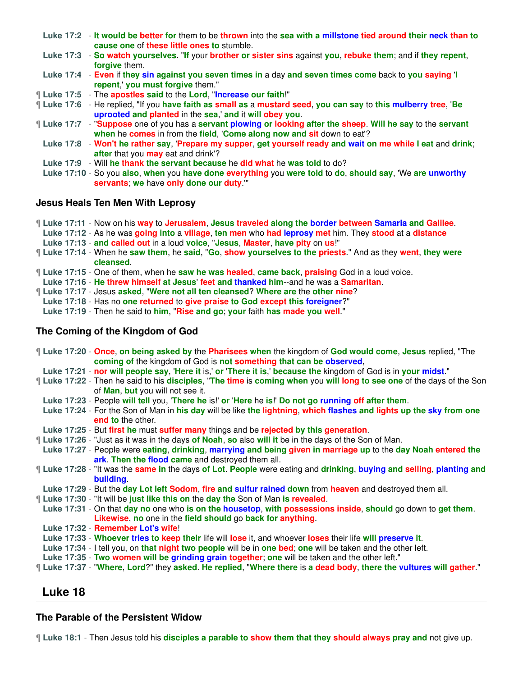- **Luke 17:2 It would be better for** them to be **thrown** into the **sea with a millstone tied around their neck than to cause one** of **these little ones to** stumble.
- **Luke 17:3 So watch yourselves**. "**If** your **brother or sister sins** against **you**, **rebuke them**; and if **they repent**, **forgive** them.
- **Luke 17:4 Even** if **they sin against you seven times in** a day **and seven times come** back to **you saying** '**I repent**,' **you must forgive** them."
- ¶ **Luke 17:5** The **apostles said** to the **Lord**, "**Increase our faith**!"
- ¶ **Luke 17:6** He replied, "If you **have faith as small as** a **mustard seed**, **you can say** to **this mulberry tree**, '**Be uprooted and planted** in the **sea**,' **and** it **will obey you**.
- ¶ **Luke 17:7** "**Suppose** one of you has a **servant plowing or looking after the sheep**. **Will he say** to the **servant when** he **comes** in from the **field**, '**Come along now and sit** down to eat'?
	- **Luke 17:8 Won't he rather say**, '**Prepare my supper**, **get yourself ready and wait on me while I eat** and **drink**; **after** that you **may** eat and drink'?
	- **Luke 17:9** Will **he thank the servant because** he **did what** he **was told** to do?
	- **Luke 17:10** So you **also**, **when** you **have done everything** you **were told** to **do**, **should say**, 'We **are unworthy servants**; **we** have **only done our duty**.'"

#### **Jesus Heals Ten Men With Leprosy**

- ¶ **Luke 17:11** Now on his **way** to **Jerusalem**, **Jesus traveled along the border between Samaria and Galilee**.
- **Luke 17:12** As he was **going into** a **village**, **ten men** who **had leprosy met** him. They **stood** at a **distance**
- **Luke 17:13 and called out** in a loud **voice**, "**Jesus**, **Master**, **have pity** on **us**!"
- ¶ **Luke 17:14** When he **saw them**, he **said**, "**Go**, **show yourselves to the priests**." And as they **went**, **they were cleansed**.
- ¶ **Luke 17:15** One of them, when he **saw he was healed**, **came back**, **praising** God in a loud voice.
- **Luke 17:16 He threw himself at Jesus**' **feet and thanked him**--and he was a **Samaritan**.
- ¶ **Luke 17:17** Jesus **asked**, "**Were not all ten cleansed**? **Where are** the **other nine**?
- **Luke 17:18** Has no **one returned** to **give praise to God except this foreigner**?"
- **Luke 17:19** Then he said to **him**, "**Rise and go**; **your** faith **has made you well**."

### **The Coming of the Kingdom of God**

¶ **Luke 17:20** - **Once**, **on being asked by** the **Pharisees when** the kingdom of **God would come**, **Jesus** replied, "The **coming of** the kingdom of God is **not something that can be observed**, **Luke 17:21** - **nor will people say**, '**Here it** is,' **or** '**There it is**,' **because the** kingdom of God is in **your midst**." ¶ **Luke 17:22** - Then he said to his **disciples**, "**The time** is **coming when** you **will long to see one** of the days of the Son of **Man**, **but** you will not see it. **Luke 17:23** - People **will tell** you, '**There he** is!' **or** '**Here** he **is**!' **Do not go running off after them**. **Luke 17:24** - For the Son of Man in **his day** will be like **the lightning**, **which flashes and lights up the sky from one end to** the other. **Luke 17:25** - But **first he** must **suffer many** things and be **rejected by this generation**. ¶ **Luke 17:26** - "Just as it was in the days **of Noah**, **so** also **will it** be in the days of the Son of Man. **Luke 17:27** - People were **eating**, **drinking**, **marrying and being given in marriage up** to the **day Noah entered the ark**. **Then the flood came** and destroyed them all. ¶ **Luke 17:28** - "It was the **same in** the days **of Lot**. **People** were eating and **drinking**, **buying and selling**, **planting and building**. **Luke 17:29** - But the **day Lot left Sodom**, **fire and sulfur rained down** from **heaven** and destroyed them all. ¶ **Luke 17:30** - "It will be **just like this on** the **day the** Son of Man **is revealed**. **Luke 17:31** - On that **day no** one who **is on the housetop**, **with possessions inside**, **should** go down to **get them**. **Likewise**, **no** one in the **field should** go **back for anything**. **Luke 17:32** - **Remember Lot's wife**! **Luke 17:33** - **Whoever tries to keep their** life will **lose** it, and whoever **loses** their life **will preserve it**. **Luke 17:34** - I tell you, on **that night two people** will be in **one bed**; **one** will be taken and the other left. **Luke 17:35** - **Two women will be grinding grain together**; **one** will be taken and the other left." ¶ **Luke 17:37** - "**Where**, **Lord**?" they **asked**. **He replied**, "**Where there** is **a dead body**, **there the vultures will gather**."

## **Luke 18**

### **The Parable of the Persistent Widow**

¶ **Luke 18:1** - Then Jesus told his **disciples a parable to show them that they should always pray and** not give up.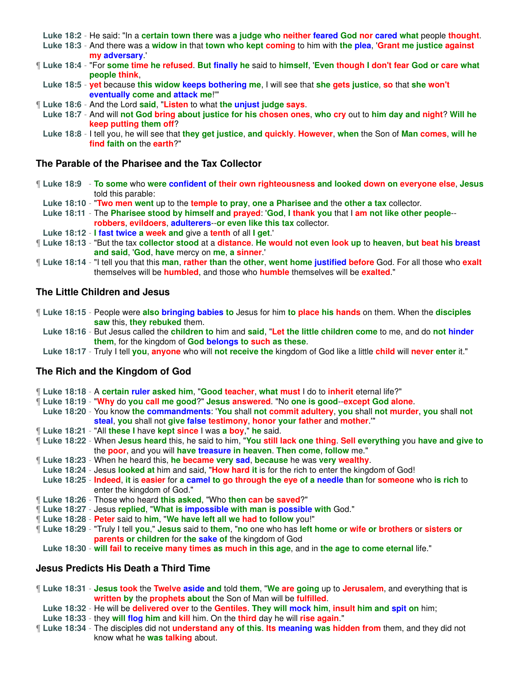**Luke 18:2** - He said: "In a **certain town there** was **a judge who neither feared God nor cared what** people **thought**.

**Luke 18:3** - And there was a **widow in** that **town who kept coming** to him with **the plea**, '**Grant me justice against my adversary**.'

- If Luke 18:4 "For some time he refused. But finally he said to himself, 'Even though I don't fear God or care what **people think**,
	- **Luke 18:5 yet** because **this widow keeps bothering me**, I will see that **she gets justice**, **so** that **she won't eventually come and attack me**!'"
- ¶ **Luke 18:6** And the Lord **said**, "**Listen** to what **the unjust judge says**.
- **Luke 18:7** And will **not God bring about justice for his chosen ones**, **who cry** out to **him day and night**? **Will he keep putting them off**?
- **Luke 18:8** I tell you, he will see that **they get justice**, **and quickly**. **However**, **when** the Son of **Man comes**, **will he find faith on** the **earth**?"

## **The Parable of the Pharisee and the Tax Collector**

- ¶ **Luke 18:9 To some** who **were confident of their own righteousness and looked down on everyone else**, **Jesus** told this parable:
- **Luke 18:10** "**Two men went** up to the **temple to pray**, **one a Pharisee and** the **other a tax** collector.
- **Luke 18:11** The **Pharisee stood by himself and prayed**: '**God**, **I thank you** that I **am not like other people robbers**, **evildoers**, **adulterers**--**or even like this tax** collector.
- **Luke 18:12 I fast twice a week and** give a **tenth** of all **I get**.'
- ¶ **Luke 18:13** "But the tax **collector stood** at a **distance**. **He would not even look up** to **heaven**, **but beat his breast and said**, '**God**, **have** mercy on **me**, **a sinner**.'
- ¶ **Luke 18:14** "I tell you that this **man**, **rather than** the **other**, **went home justified before** God. For all those who **exalt** themselves will be **humbled**, and those who **humble** themselves will be **exalted**."

### **The Little Children and Jesus**

- ¶ **Luke 18:15** People were **also bringing babies to** Jesus for him **to place his hands** on them. When the **disciples saw** this, **they rebuked** them.
	- **Luke 18:16** But Jesus called the **children to** him and **said**, "**Let the little children come** to me, and do **not hinder them**, for the kingdom of **God belongs to such as these**.
	- **Luke 18:17** Truly I tell **you**, **anyone** who will **not receive the** kingdom of God like a little **child** will **never enter** it."

## **The Rich and the Kingdom of God**

- ¶ **Luke 18:18** A **certain ruler asked him**, "**Good teacher**, **what must** I do to **inherit** eternal life?"
- ¶ **Luke 18:19** "**Why** do **you call me good**?" **Jesus answered**. "No **one is good**--**except God alone**.
- **Luke 18:20** You know **the commandments**: '**You** shall **not commit adultery**, **you** shall **not murder**, **you** shall **not steal**, **you** shall not **give false testimony**, **honor your father** and **mother**.'"
- ¶ **Luke 18:21** "All **these I** have **kept since** I was **a boy**," **he** said.
- ¶ **Luke 18:22** When **Jesus heard** this, he said to him, "**You still lack one thing**. **Sell everything** you **have and give to** the **poor**, and you will **have treasure in heaven**. **Then come**, **follow** me."
- ¶ **Luke 18:23** When he heard this, **he became very sad**, **because** he was **very wealthy**.
- **Luke 18:24** Jesus **looked at** him and said, "**How hard it** is for the rich to enter the kingdom of God!

**Luke 18:25** - **Indeed**, **it** is **easier** for **a camel to go through the eye of a needle than** for **someone** who **is rich** to enter the kingdom of God."

- ¶ **Luke 18:26** Those who heard **this asked**, "Who **then can** be **saved**?"
- ¶ **Luke 18:27** Jesus **replied**, "**What is impossible with man is possible with** God."
- ¶ **Luke 18:28 Peter** said to **him**, "**We have left all we had to follow** you!"
- ¶ **Luke 18:29** "Truly I tell **you**," **Jesus** said to **them**, "**no** one who has **left home or wife or brothers** or **sisters or parents or children** for **the sake of** the kingdom of God
	- **Luke 18:30 will fail to receive many times as much in this age**, and in **the age to come eternal** life."

## **Jesus Predicts His Death a Third Time**

- ¶ **Luke 18:31 Jesus took** the **Twelve aside and** told **them**, "**We are going** up to **Jerusalem**, and everything that is **written by** the **prophets about** the Son of Man will be **fulfilled**.
	- **Luke 18:32** He will be **delivered over** to the **Gentiles**. **They will mock him**, **insult him and spit on** him;
- **Luke 18:33** they **will flog him** and **kill** him. On the **third** day he will **rise again**."
- ¶ **Luke 18:34** The disciples did not **understand any of this**. **Its meaning was hidden from** them, and they did not know what he **was talking** about.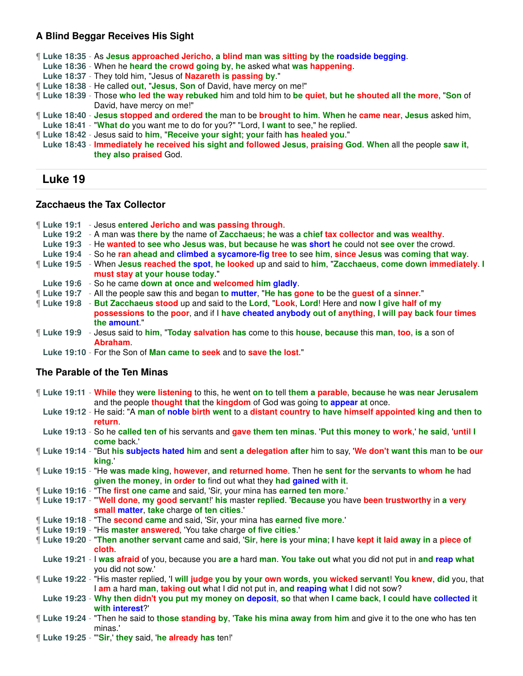## **A Blind Beggar Receives His Sight**

- ¶ **Luke 18:35** As **Jesus approached Jericho**, **a blind man was sitting by the roadside begging**.
- **Luke 18:36** When he **heard the crowd going by**, **he** asked what **was happening**.
- **Luke 18:37** They told him, "Jesus of **Nazareth is passing by**."
- ¶ **Luke 18:38** He called **out**, "**Jesus**, **Son** of David, have mercy on me!"
- ¶ **Luke 18:39** Those **who led the way rebuked** him and told him to **be quiet**, **but he shouted all the more**, "**Son** of David, have mercy on me!"
- ¶ **Luke 18:40 Jesus stopped and ordered the** man to be **brought to him**. **When** he **came near**, **Jesus** asked him,
- **Luke 18:41** "**What do** you want me to do for you?" "Lord, **I want** to see," he replied.
- ¶ **Luke 18:42** Jesus said to **him**, "**Receive your sight**; **your** faith **has healed you**."

**Luke 18:43** - **Immediately he received his sight and followed Jesus**, **praising God**. **When** all the people **saw it**, **they also praised** God.

# **Luke 19**

### **Zacchaeus the Tax Collector**

|  | <b>Luke 19:1 - Jesus entered Jericho and was passing through.</b> |  |
|--|-------------------------------------------------------------------|--|
|--|-------------------------------------------------------------------|--|

- **Luke 19:2** A man was **there by** the name **of Zacchaeus**; **he** was **a chief tax collector and was wealthy**.
- **Luke 19:3** He **wanted** to **see who Jesus was**, **but because** he **was short he** could not **see over** the crowd.
- **Luke 19:4** So he **ran ahead and climbed a sycamore-fig tree to** see **him**, **since Jesus** was **coming that way**.
- ¶ **Luke 19:5** When **Jesus reached the spot**, **he looked** up and said to **him**, "**Zacchaeus**, **come down immediately**. **I must stay at your house today**."
- **Luke 19:6** So he came **down at once and welcomed him gladly**.
- ¶ **Luke 19:7** All the people saw this and began **to mutter**, "**He has gone to** be the **guest of** a **sinner**."
- ¶ **Luke 19:8 But Zacchaeus stood** up and said to the **Lord**, "**Look**, **Lord**! Here and **now I give half of my possessions to** the **poor**, and if I **have cheated anybody out of anything**, **I will pay back four times the amount**."
- ¶ **Luke 19:9** Jesus said to **him**, "**Today salvation has** come to this **house**, **because** this **man**, **too**, **is** a son of **Abraham**.
- **Luke 19:10** For the Son of **Man came to seek** and to **save the lost**."

## **The Parable of the Ten Minas**

- ¶ **Luke 19:11 While** they **were listening** to this, he went **on to** tell **them a parable**, **because** he **was near Jerusalem** and the people **thought that** the **kingdom** of God was going **to appear at** once.
- **Luke 19:12** He said: "A **man of noble birth went** to a **distant country to have himself appointed king and then to return**.
- **Luke 19:13** So he **called ten of** his servants and **gave them ten minas**. '**Put this money to work**,' **he said**, '**until I come** back.'
- ¶ **Luke 19:14** "But **his subjects hated him** and **sent a delegation after** him to say, '**We don't want this** man to **be our king**.'
- ¶ **Luke 19:15** "He **was made king**, **however**, **and returned home**. Then he **sent for** the **servants to whom he** had **given the money**, **in order to** find out what they **had gained with it**.
- ¶ **Luke 19:16** "The **first one came** and said, 'Sir, your mina has **earned ten more**.'
- ¶ **Luke 19:17** "'**Well done**, **my good servant**!' **his** master **replied**. '**Because** you have **been trustworthy** in **a very small matter**, **take** charge **of ten cities**.'
- ¶ **Luke 19:18** "The **second came** and said, 'Sir, your mina has **earned five more**.'
- ¶ **Luke 19:19** "His **master answered**, 'You take charge **of five cities**.'
- ¶ **Luke 19:20** "**Then another servant** came and said, '**Sir**, **here is** your **mina**; **I** have **kept it laid away in** a **piece of cloth**.
- **Luke 19:21** I **was afraid** of you, because you **are a** hard **man**. **You take out** what you did not put in **and reap what** you did not sow.'
- ¶ **Luke 19:22** "His master replied, 'I **will judge you by your own words**, **you wicked servant**! **You knew**, **did** you, that I **am** a hard **man**, **taking out** what I did not put in, **and reaping what** I did not sow?
	- **Luke 19:23 Why then didn't you put my money on deposit**, **so** that when **I came back**, **I could have collected it with interest**?'
- ¶ **Luke 19:24** "Then he said to **those standing by**, '**Take his mina away from him** and give it to the one who has ten minas.'
- ¶ **Luke 19:25** "'**Sir**,' **they** said, '**he already has** ten!'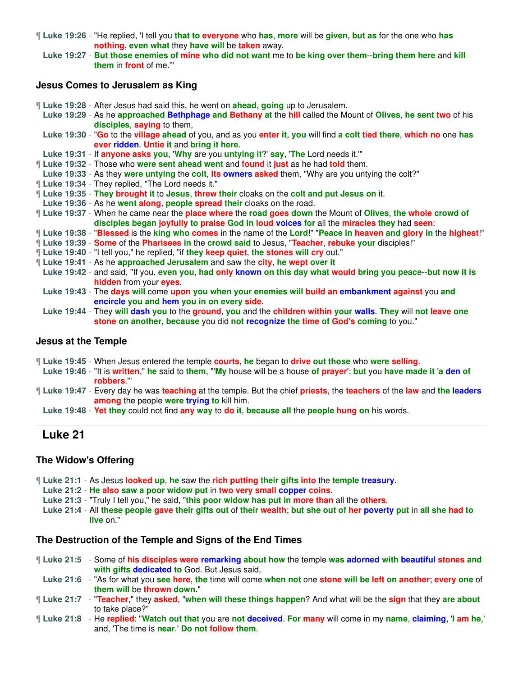¶ **Luke 19:26** - "He replied, 'I tell you **that to everyone** who **has**, **more** will be **given**, **but as** for the one who **has nothing**, **even what** they **have will** be **taken** away.

**Luke 19:27** - **But those enemies of mine who did not want** me to **be king over them**--**bring them here** and **kill them** in **front** of me.'"

#### **Jesus Comes to Jerusalem as King**

¶ **Luke 19:28** - After Jesus had said this, he went on **ahead**, **going** up to Jerusalem.

**Luke 19:29** - As he **approached Bethphage and Bethany at** the **hill** called the Mount of **Olives**, **he sent two** of his **disciples**, **saying** to them,

**Luke 19:30** - "**Go** to the **village ahead** of you, and as you **enter it**, **you** will find **a colt tied there**, **which no** one **has ever ridden**. **Untie it** and **bring it here**.

**Luke 19:31** - If **anyone asks you**, '**Why** are you **untying it**?' **say**, '**The** Lord needs it.'"

¶ **Luke 19:32** - Those who **were sent ahead went** and **found** it **just** as he had **told** them.

- **Luke 19:33** As they **were untying** the **colt**, **its owners asked** them, "Why are you untying the colt?"
- ¶ **Luke 19:34** They replied, "The Lord needs it."

¶ **Luke 19:35** - **They brought it** to **Jesus**, **threw their** cloaks on the **colt and put Jesus on** it.

- **Luke 19:36** As he **went along**, **people spread their** cloaks on the road.
- ¶ **Luke 19:37** When he came near the **place where** the **road goes down** the Mount of **Olives**, **the whole crowd of disciples began joyfully to praise God in loud voices for** all the **miracles they** had **seen**:

¶ **Luke 19:38** - "**Blessed** is the **king who comes** in the name of the **Lord**!" "**Peace in heaven and glory in** the **highest**!"

- ¶ **Luke 19:39 Some** of the **Pharisees in** the **crowd said** to Jesus, "**Teacher**, **rebuke your** disciples!"
- ¶ **Luke 19:40** "I tell you," he replied, "if **they keep quiet**, **the stones will cry** out."
- ¶ **Luke 19:41** As he **approached Jerusalem** and saw the **city**, **he wept over it**
- **Luke 19:42** and said, "If you, **even you**, **had only known on this day what would bring you peace**--**but now it is hidden** from your **eyes**.
- **Luke 19:43** The **days will** come **upon you when your enemies will build an embankment against** you **and encircle you and hem you in on every side**.

**Luke 19:44** - They **will dash you** to the **ground**, **you** and the **children within your walls**. **They** will **not leave one stone on another**, **because** you did **not recognize the time of God's coming** to you."

#### **Jesus at the Temple**

- ¶ **Luke 19:45** When Jesus entered the temple **courts**, **he** began to **drive out those** who **were selling**.
- **Luke 19:46** "It is **written**," **he** said to **them**, "'**My** house will be a house **of prayer**'; **but** you **have made it** '**a den of robbers**.'"
- ¶ **Luke 19:47** Every day he was **teaching** at the temple. But the chief **priests**, the **teachers** of the **law** and **the leaders among** the people **were trying to** kill him.
	- **Luke 19:48 Yet they** could not find **any way** to **do it**, **because all** the **people hung on** his words.

## **Luke 21**

### **The Widow's Offering**

- ¶ **Luke 21:1** As Jesus **looked up**, **he** saw the **rich putting their gifts into** the **temple treasury**.
- **Luke 21:2 He also saw a poor widow put** in **two very small copper coins**.
- **Luke 21:3** "Truly I tell you," he said, "**this poor widow has put in more than** all the **others**.
- **Luke 21:4** All **these people gave their gifts out** of **their wealth**; **but she out of her poverty put** in **all she had to live** on."

#### **The Destruction of the Temple and Signs of the End Times**

- ¶ **Luke 21:5** Some of **his disciples were remarking about how** the temple **was adorned with beautiful stones and with gifts dedicated to** God. But Jesus said,
- **Luke 21:6** "As for what you **see here**, **the** time will come **when not** one **stone will be left on another**; **every one** of **them will** be **thrown down**."
- ¶ **Luke 21:7** "**Teacher**," they **asked**, "**when will these things happen**? And what will be the **sign** that they **are about** to take place?"
- ¶ **Luke 21:8** He **replied**: "**Watch out that** you are **not deceived**. **For many** will come in my **name**, **claiming**, '**I am he**,' and, 'The time is **near**.' **Do not follow them**.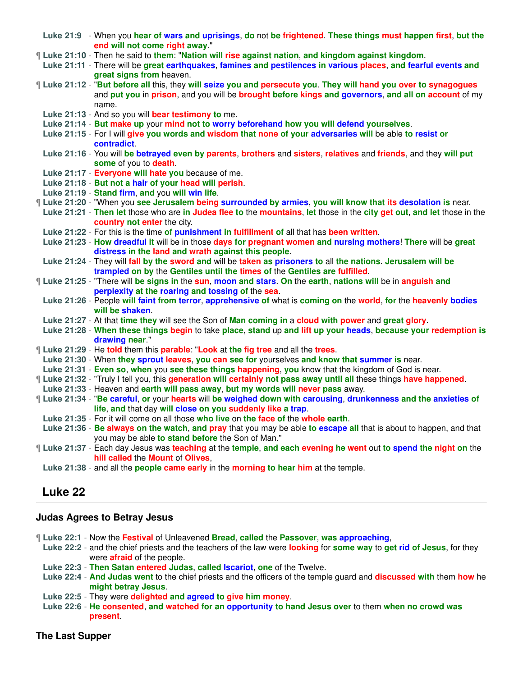- **Luke 21:9** When you **hear of wars and uprisings**, **do** not **be frightened**. **These things must happen first**, **but the end will not come right away**."
- ¶ **Luke 21:10** Then he said to **them**: "**Nation will rise against nation**, **and kingdom against kingdom**.
- **Luke 21:11** There will be **great earthquakes**, **famines and pestilences in various places**, **and fearful events and great signs from** heaven.
- ¶ **Luke 21:12** "**But before all** this, they **will seize you and persecute you**. **They will hand you over to synagogues** and **put you** in **prison**, and you will be **brought before kings and governors**, **and all on account** of my name.
	- **Luke 21:13** And so you will **bear testimony to** me.
	- **Luke 21:14 But make up** your **mind not to worry beforehand how you will defend yourselves**.
	- **Luke 21:15** For I will **give you words and wisdom that none of your adversaries will** be able **to resist or contradict**.
	- **Luke 21:16** You will **be betrayed even by parents**, **brothers** and **sisters**, **relatives** and **friends**, and they **will put some** of you to **death**.
	- **Luke 21:17 Everyone will hate you** because of me.
	- **Luke 21:18 But not a hair of your head will perish**.
	- **Luke 21:19 Stand firm**, **and** you **will win life**.
- ¶ **Luke 21:20** "When you **see Jerusalem being surrounded by armies**, **you will know that its desolation is** near.
- **Luke 21:21 Then let** those who are **in Judea flee to** the **mountains**, **let** those in the **city get out**, **and let** those in the **country not enter** the city.
- **Luke 21:22** For this is the time **of punishment in fulfillment of** all that has **been written**.
- **Luke 21:23 How dreadful it** will be in those **days for pregnant women and nursing mothers**! **There** will be **great distress in the land and wrath against this people**.
- **Luke 21:24** They will **fall by the sword and** will be **taken as prisoners to** all **the nations**. **Jerusalem will be trampled on by** the **Gentiles until the times of** the **Gentiles are fulfilled**.
- ¶ **Luke 21:25** "There will **be signs in** the **sun**, **moon and stars**. **On** the **earth**, **nations will** be in **anguish and perplexity at the roaring and tossing of** the **sea**.
- **Luke 21:26** People **will faint from terror**, **apprehensive of** what is **coming on** the **world**, **for** the **heavenly bodies will be shaken**.
- **Luke 21:27** At that **time they** will see the Son of **Man coming in** a **cloud with power** and **great glory**.
- **Luke 21:28 When these things begin** to take **place**, **stand** up **and lift up your heads**, **because your redemption is drawing near**."
- ¶ **Luke 21:29** He **told** them this **parable**: "**Look** at **the fig tree** and all the **trees**.
- **Luke 21:30** When **they sprout leaves**, **you can see for** yourselves **and know that summer is** near.
- **Luke 21:31 Even so**, **when** you **see these things happening**, **you** know that the kingdom of God is near.
- ¶ **Luke 21:32** "Truly I tell you, this **generation will certainly not pass away until all** these things **have happened**.
- **Luke 21:33** Heaven and **earth will pass away**, **but my words will never pass** away.
- ¶ **Luke 21:34** "**Be careful**, **or** your **hearts** will **be weighed down with carousing**, **drunkenness and the anxieties of life**, **and** that day **will close on you suddenly like a trap**.
- **Luke 21:35** For it will come on all those **who live** on **the face of** the **whole earth**.
- **Luke 21:36 Be always on the watch**, **and pray** that you may be able **to escape all** that is about to happen, and that you may be able **to stand before** the Son of Man."
- ¶ **Luke 21:37** Each day Jesus was **teaching** at the **temple**, **and each evening he went** out **to spend the night on** the **hill called** the **Mount** of **Olives**,
- **Luke 21:38** and all the **people came early** in the **morning to hear him** at the temple.

# **Luke 22**

### **Judas Agrees to Betray Jesus**

- ¶ **Luke 22:1** Now the **Festival** of Unleavened **Bread**, **called** the **Passover**, **was approaching**,
- **Luke 22:2** and the chief priests and the teachers of the law were **looking** for **some way** to **get rid of Jesus**, for they were **afraid** of the people.
- **Luke 22:3 Then Satan entered Judas**, **called Iscariot**, **one** of the Twelve.
- **Luke 22:4 And Judas went** to the chief priests and the officers of the temple guard and **discussed with** them **how** he **might betray Jesus**.
- **Luke 22:5** They were **delighted and agreed to give him money**.
- **Luke 22:6 He consented**, **and watched for an opportunity to hand Jesus over** to them **when no crowd was present**.

## **The Last Supper**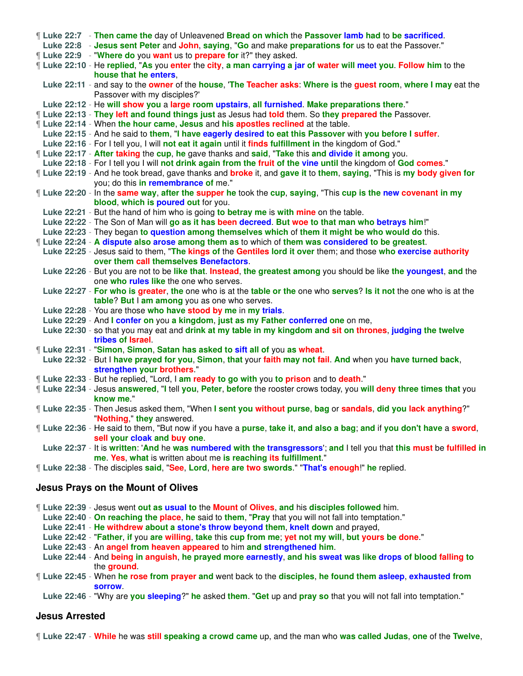|  | If Luke 22:7 - Then came the day of Unleavened Bread on which the Passover lamb had to be sacrificed.                      |
|--|----------------------------------------------------------------------------------------------------------------------------|
|  | Luke 22:8 - Jesus sent Peter and John, saying, "Go and make preparations for us to eat the Passover."                      |
|  | If Luke 22:9 - "Where do you want us to prepare for it?" they asked.                                                       |
|  | If Luke 22:10 - He replied, "As you enter the city, a man carrying a jar of water will meet you. Follow him to the         |
|  | house that he enters,                                                                                                      |
|  | Luke 22:11 - and say to the <b>owner</b> of the house. The Teacher asks: Where is the quest room, where I may eat the      |
|  | Passover with my disciples?'                                                                                               |
|  | Luke 22:12 - He will show you a large room upstairs, all furnished. Make preparations there."                              |
|  | If Luke 22:13 - They left and found things just as Jesus had told them. So they prepared the Passover.                     |
|  | If Luke 22:14 - When the hour came, Jesus and his apostles reclined at the table.                                          |
|  | Luke 22:15 - And he said to them, "I have eagerly desired to eat this Passover with you before I suffer.                   |
|  | Luke 22:16 - For I tell you, I will not eat it again until it finds fulfillment in the kingdom of God."                    |
|  | <b>If Luke 22:17 - After taking the cup, he gave thanks and said, "Take this and divide it among you.</b>                  |
|  | Luke 22:18 - For I tell you I will not drink again from the fruit of the vine until the kingdom of God comes."             |
|  | ¶ Luke 22:19 - And he took bread, gave thanks and <b>broke</b> it, and gave it to them, saying, "This is my body given for |
|  | you; do this in remembrance of me."                                                                                        |
|  | If Luke 22:20 - In the same way, after the supper he took the cup, saying, "This cup is the new covenant in my             |
|  | blood, which is poured out for you.                                                                                        |
|  | Luke 22:21 - But the hand of him who is going to betray me is with mine on the table.                                      |
|  | Luke 22:22 - The Son of Man will go as it has been decreed. But woe to that man who betrays him!"                          |
|  | Luke 22:23 - They began to question among themselves which of them it might be who would do this.                          |
|  | If Luke 22:24 - A dispute also arose among them as to which of them was considered to be greatest.                         |
|  | Luke 22:25 - Jesus said to them, "The kings of the Gentiles lord it over them; and those who exercise authority            |
|  | over them call themselves Benefactors.                                                                                     |
|  | Luke 22:26 - But you are not to be like that. Instead, the greatest among you should be like the youngest, and the         |
|  | one who rules like the one who serves.                                                                                     |
|  | Luke 22:27 - For who is greater, the one who is at the table or the one who serves? Is it not the one who is at the        |
|  | table? But I am among you as one who serves.                                                                               |
|  | Luke 22:28 - You are those who have stood by me in my trials.                                                              |
|  | Luke 22:29 - And I confer on you a kingdom, just as my Father conferred one on me,                                         |
|  | Luke 22:30 - so that you may eat and drink at my table in my kingdom and sit on thrones, judging the twelve                |
|  | tribes of Israel                                                                                                           |
|  | Luke 22:31 - "Simon, Simon, Satan has asked to sift all of you as wheat.                                                   |
|  | Luke 22:32 - But I have prayed for you, Simon, that your faith may not fail. And when you have turned back,                |
|  | strengthen your brothers."                                                                                                 |
|  | [Luke 22:33 - But he replied, "Lord, I am ready to go with you to prison and to death."                                    |
|  | If Luke 22:34 - Jesus answered, "I tell you, Peter, before the rooster crows today, you will deny three times that you     |
|  | know me."                                                                                                                  |
|  | "Luke 22:35 - Then Jesus asked them, "When I sent you without purse, bag or sandals, did you lack anything?"               |
|  | "Nothing," they answered.                                                                                                  |
|  | If Luke 22:36 - He said to them, "But now if you have a purse, take it, and also a bag; and if you don't have a sword,     |
|  | sell your cloak and buy one.                                                                                               |
|  | Luke 22:37 - It is written: 'And he was numbered with the transgressors'; and I tell you that this must be fulfilled in    |
|  | me. Yes, what is written about me is reaching its fulfillment."                                                            |
|  | [Luke 22:38 - The disciples said, "See, Lord, here are two swords." "That's enough!" he replied.                           |
|  |                                                                                                                            |
|  |                                                                                                                            |

# **Jesus Prays on the Mount of Olives**

¶ **Luke 22:39** - Jesus went **out as usual to** the **Mount** of **Olives**, **and** his **disciples followed** him.

**Luke 22:40** - **On reaching the place**, **he** said to **them**, "**Pray** that you will not fall into temptation."

**Luke 22:41** - **He withdrew about a stone's throw beyond them**, **knelt down** and prayed,

**Luke 22:42** - "**Father**, **if** you **are willing**, **take** this **cup from me**; **yet not my will**, **but yours be done**."

**Luke 22:43** - An **angel from heaven appeared** to him **and strengthened him**.

**Luke 22:44** - And **being in anguish**, **he prayed more earnestly**, **and his sweat was like drops of blood falling to** the **ground**.

¶ **Luke 22:45** - When **he rose from prayer and** went back to the **disciples**, **he found them asleep**, **exhausted from sorrow**.

**Luke 22:46** - "Why are **you sleeping**?" **he** asked **them**. "**Get** up and **pray so** that you will not fall into temptation."

### **Jesus Arrested**

¶ **Luke 22:47** - **While** he was **still speaking a crowd came** up, and the man who **was called Judas**, **one** of the **Twelve**,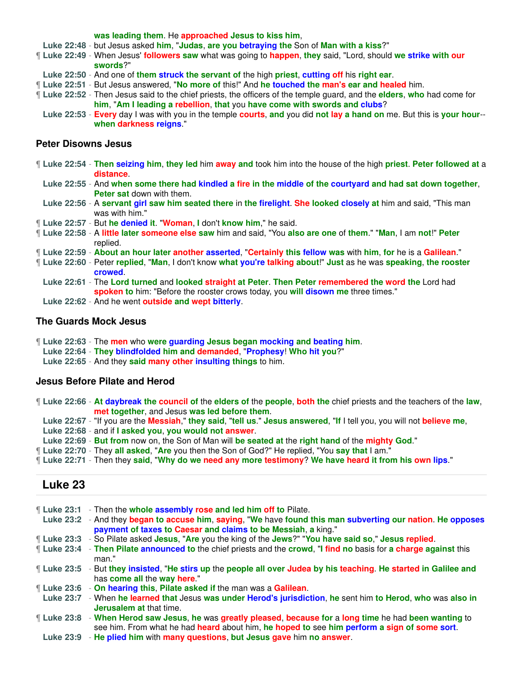**was leading them**. He **approached Jesus to kiss him**,

- **Luke 22:48** but Jesus asked **him**, "**Judas**, **are you betraying the** Son of **Man with a kiss**?"
- ¶ **Luke 22:49** When Jesus' **followers saw** what was going to **happen**, **they** said, "Lord, should **we strike with our swords**?"
- **Luke 22:50** And one of **them struck the servant of** the high **priest**, **cutting off** his **right ear**.
- ¶ **Luke 22:51** But Jesus answered, "**No more of** this!" And **he touched the man's ear and healed** him.
- ¶ **Luke 22:52** Then Jesus said to the chief priests, the officers of the temple guard, and the **elders**, **who** had come for **him**, "**Am I leading a rebellion**, **that** you **have come with swords and clubs**?
- **Luke 22:53 Every** day I was with you in the temple **courts**, **and** you did **not lay a hand on** me. But this is **your hour when darkness reigns**."

#### **Peter Disowns Jesus**

- ¶ **Luke 22:54 Then seizing him**, **they led** him **away and** took him into the house of the high **priest**. **Peter followed at** a **distance**.
- **Luke 22:55** And **when some there had kindled a fire in the middle of the courtyard and had sat down together**, **Peter sat** down with them.
- **Luke 22:56** A **servant girl saw him seated there** in **the firelight**. **She looked closely at** him and said, "This man was with him."
- ¶ **Luke 22:57** But **he denied it**. "**Woman**, **I** don't **know him**," he said.
- ¶ **Luke 22:58** A **little later someone else saw** him and said, "You **also are one** of **them**." "**Man**, I am **not**!" **Peter** replied.
- ¶ **Luke 22:59 About an hour later another asserted**, "**Certainly this fellow was** with **him**, **for** he is a **Galilean**."
- ¶ **Luke 22:60** Peter **replied**, "**Man**, I don't know **what you're talking about**!" **Just** as he was **speaking**, **the rooster crowed**.
	- **Luke 22:61** The **Lord turned** and **looked straight at Peter**. **Then Peter remembered the word the** Lord had **spoken to** him: "Before the rooster crows today, you **will disown me** three times."
	- **Luke 22:62** And he went **outside and wept bitterly**.

#### **The Guards Mock Jesus**

- ¶ **Luke 22:63** The **men** who **were guarding Jesus began mocking and beating him**.
- **Luke 22:64 They blindfolded him and demanded**, "**Prophesy**! **Who hit you**?"
- **Luke 22:65** And they **said many other insulting things** to him.

#### **Jesus Before Pilate and Herod**

¶ **Luke 22:66** - **At daybreak the council of** the **elders of** the **people**, **both the** chief priests and the teachers of the **law**, **met together**, and Jesus **was led before them**.

**Luke 22:67** - "If you are the **Messiah**," **they said**, "**tell us**." **Jesus answered**, "**If** I tell you, you will not **believe me**,

**Luke 22:68** - and if **I asked you**, **you would not answer**.

- **Luke 22:69 But from** now on, the Son of Man will **be seated at** the **right hand** of the **mighty God**."
- ¶ **Luke 22:70** They **all asked**, "**Are** you then the Son of God?" He replied, "You **say that** I am."
- ¶ **Luke 22:71** Then they **said**, "**Why do we need any more testimony**? **We have heard it from his own lips**."

## **Luke 23**

|                  | <b>Luke 23:1</b> - Then the whole assembly rose and led him off to Pilate.                                       |
|------------------|------------------------------------------------------------------------------------------------------------------|
|                  | Luke 23:2 - And they began to accuse him, saying, "We have found this man subverting our nation. He opposes      |
|                  | payment of taxes to Caesar and claims to be Messiah, a king."                                                    |
|                  |                                                                                                                  |
|                  | [Luke 23:3 - So Pilate asked Jesus, "Are you the king of the Jews?" "You have said so," Jesus replied.           |
| ¶ Luke 23:4      | - Then Pilate announced to the chief priests and the crowd, "I find no basis for a charge against this           |
|                  |                                                                                                                  |
|                  | man."                                                                                                            |
|                  | Luke 23:5 - But they insisted, "He stirs up the people all over Judea by his teaching. He started in Galilee and |
|                  |                                                                                                                  |
|                  | has come all the way here."                                                                                      |
|                  | Luke 23:6 - On hearing this, Pilate asked if the man was a Galilean.                                             |
| <b>Luke 23:7</b> | - When he learned that Jesus was under Herod's jurisdiction, he sent him to Herod, who was also in               |
|                  |                                                                                                                  |
|                  | <b>Jerusalem at that time.</b>                                                                                   |
| ¶ Luke 23:8      | - When Herod saw Jesus, he was greatly pleased, because for a long time he had been wanting to                   |
|                  |                                                                                                                  |
|                  | see him. From what he had heard about him, he hoped to see him perform a sign of some sort.                      |
| L.H. A. 00.0     | the wiled blue with means acceptions, but teach agree bus we awarray                                             |

**Luke 23:9** - **He plied him** with **many questions**, **but Jesus gave** him **no answer**.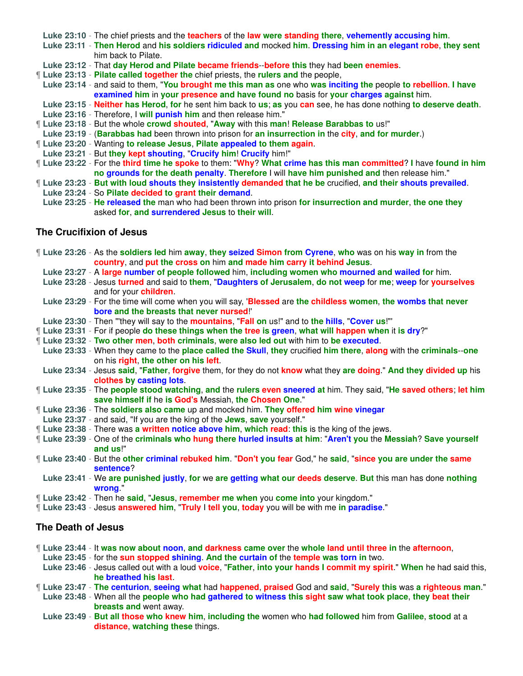**Luke 23:10** - The chief priests and the **teachers** of the **law were standing there**, **vehemently accusing him**.

**Luke 23:11** - **Then Herod** and **his soldiers ridiculed and** mocked **him**. **Dressing him in an elegant robe**, **they sent** him back to Pilate.

**Luke 23:12** - That **day Herod and Pilate became friends**--**before this** they had **been enemies**.

¶ **Luke 23:13** - **Pilate called together the** chief priests, the **rulers and** the people,

**Luke 23:14** - and said to them, "**You brought me this man as** one who **was inciting the** people **to rebellion**. **I have examined him** in **your presence and have found no** basis for **your charges against** him.

- **Luke 23:15 Neither has Herod**, **for** he sent him back to **us**; **as** you **can** see, he has done nothing **to deserve death**.
- **Luke 23:16** Therefore, I **will punish him** and then release him."
- ¶ **Luke 23:18** But the whole **crowd shouted**, "**Away** with this **man**! **Release Barabbas to** us!"
- **Luke 23:19** (**Barabbas had** been thrown into prison for **an insurrection in** the **city**, **and for murder**.)
- ¶ **Luke 23:20** Wanting **to release Jesus**, **Pilate appealed to them again**.
- **Luke 23:21** But **they kept shouting**, "**Crucify him**! **Crucify** him!"
- ¶ **Luke 23:22** For the **third time he spoke** to them: "**Why**? **What crime has this man committed**? **I** have **found in him no grounds for the death penalty**. **Therefore** I will **have him punished and** then release him."
- ¶ **Luke 23:23 But with loud shouts they insistently demanded that he be** crucified, **and their shouts prevailed**.
- **Luke 23:24** So **Pilate decided to grant their demand**.
	- **Luke 23:25 He released the** man who had been thrown into prison **for insurrection and murder**, **the one they** asked **for**, **and surrendered Jesus** to **their will**.

### **The Crucifixion of Jesus**

- ¶ **Luke 23:26** As the **soldiers led** him **away**, **they seized Simon from Cyrene**, **who** was on his **way in** from the **country**, and **put the cross on** him **and made him carry it behind Jesus**. **Luke 23:27** - A **large number of people followed** him, **including women who mourned and wailed for** him.
- **Luke 23:28** Jesus **turned** and said to **them**, "**Daughters of Jerusalem**, **do not weep** for **me**; **weep** for **yourselves** and for your **children**.
- **Luke 23:29** For the time will come when you will say, '**Blessed** are **the childless women**, **the wombs that never bore and the breasts that never nursed**!'
- **Luke 23:30** Then "'they will say to the **mountains**, "**Fall on** us!" and to **the hills**, "**Cover us**!"'
- ¶ **Luke 23:31** For if people **do these things when the tree is green**, **what will happen when** it **is dry**?"
- ¶ **Luke 23:32 Two other men**, **both criminals**, **were also led out** with him to **be executed**.
- **Luke 23:33** When they came to the **place called the Skull**, **they** crucified **him there**, **along** with the **criminals**--**one** on his **right**, **the other on his left**.
- **Luke 23:34** Jesus **said**, "**Father**, **forgive** them, for they do not **know** what they **are doing**." **And they divided up** his **clothes by casting lots**.
- ¶ **Luke 23:35** The **people stood watching**, **and** the **rulers even sneered at** him. They said, "**He saved others**; **let him save himself if** he **is God's** Messiah, **the Chosen One**."
- ¶ **Luke 23:36** The **soldiers also came** up and mocked him. **They offered him wine vinegar**
- **Luke 23:37** and said, "If you are the king of the **Jews**, **save** yourself."
- ¶ **Luke 23:38** There was **a written notice above him**, **which read**: **this** is the king of the jews.
- ¶ **Luke 23:39** One of the **criminals who hung there hurled insults at him**: "**Aren't you** the **Messiah**? **Save yourself and us**!"
- ¶ **Luke 23:40** But the **other criminal rebuked him**. "**Don't you fear** God," he **said**, "**since you are under the same sentence**?
- **Luke 23:41** We **are punished justly**, **for** we **are getting what our deeds deserve**. **But** this man has done **nothing wrong**."
- ¶ **Luke 23:42** Then he **said**, "**Jesus**, **remember me when** you **come into** your kingdom."
- ¶ **Luke 23:43** Jesus **answered him**, "**Truly** I **tell you**, **today** you will be with me **in paradise**."

## **The Death of Jesus**

- ¶ **Luke 23:44** It **was now about noon**, **and darkness came over** the **whole land until three in** the **afternoon**,
- **Luke 23:45** for the **sun stopped shining**. **And the curtain of** the **temple was torn in** two.
- **Luke 23:46** Jesus called out with a loud **voice**, "**Father**, **into your hands I commit my spirit**." **When** he had said this, **he breathed his last**.
- ¶ **Luke 23:47 The centurion**, **seeing what** had **happened**, **praised** God and **said**, "**Surely this** was **a righteous man**."
- **Luke 23:48** When all the **people who had gathered to witness this sight saw what took place**, **they beat their breasts and** went away.
- **Luke 23:49 But all those who knew him**, **including the** women who **had followed** him from **Galilee**, **stood** at a **distance**, **watching these** things.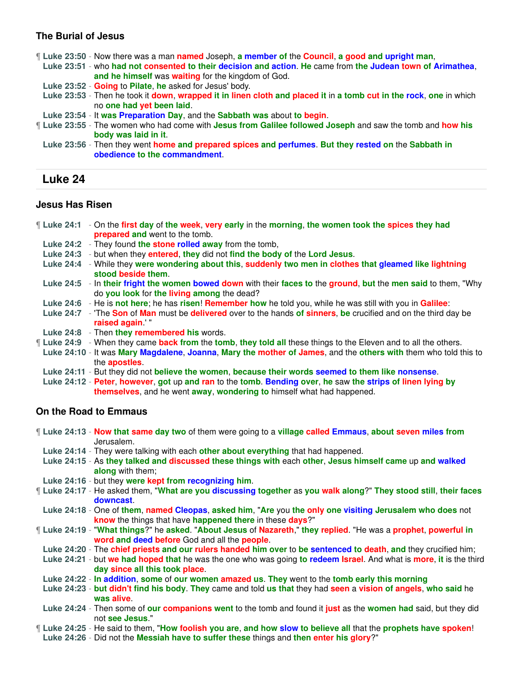## **The Burial of Jesus**

¶ **Luke 23:50** - Now there was a man **named** Joseph, **a member of** the **Council**, **a good and upright man**,

- **Luke 23:51** who **had not consented to their decision and action**. **He** came from **the Judean town of Arimathea**, **and he himself** was **waiting** for the kingdom of God.
- **Luke 23:52 Going** to **Pilate**, **he** asked for Jesus' body.
- **Luke 23:53** Then he took it **down**, **wrapped it in linen cloth and placed it** in **a tomb cut in the rock**, **one** in which no **one had yet been laid**.
- **Luke 23:54** It **was Preparation Day**, and the **Sabbath was** about **to begin**.
- ¶ **Luke 23:55** The women who had come with **Jesus from Galilee followed Joseph** and saw the tomb and **how his body was laid in it**.
- **Luke 23:56** Then they went **home and prepared spices and perfumes**. **But they rested on** the **Sabbath in obedience to the commandment**.

# **Luke 24**

### **Jesus Has Risen**

- ¶ **Luke 24:1** On the **first day** of **the week**, **very early** in the **morning**, **the women took the spices they had prepared and** went to the tomb.
- **Luke 24:2** They found **the stone rolled away** from the tomb,
- **Luke 24:3** but when they **entered**, **they** did not **find the body of** the **Lord Jesus**.
- **Luke 24:4** While they **were wondering about this**, **suddenly two men in clothes that gleamed like lightning stood beside them**.
- **Luke 24:5** In **their fright the women bowed down** with their **faces to** the **ground**, **but** the **men said** to them, "Why do **you look** for **the living among** the dead?
- **Luke 24:6** He is **not here**; he has **risen**! **Remember how** he told you, while he was still with you in **Galilee**:
- **Luke 24:7** 'The **Son** of **Man** must be **delivered** over to the hands **of sinners**, **be** crucified and on the third day be **raised again**.' "
- **Luke 24:8** Then **they remembered his** words.
- ¶ **Luke 24:9** When they came **back from** the **tomb**, **they told all** these things to the Eleven and to all the others.
- **Luke 24:10** It was **Mary Magdalene**, **Joanna**, **Mary the mother of James**, and the **others with** them who told this to the **apostles**.
- **Luke 24:11** But they did not **believe the women**, **because their words seemed to them like nonsense**.
- **Luke 24:12 Peter**, **however**, **got** up **and ran** to the **tomb**. **Bending over**, **he** saw **the strips of linen lying by themselves**, and he went **away**, **wondering to** himself what had happened.

## **On the Road to Emmaus**

¶ **Luke 24:13** - **Now that same day two** of them were going to a **village called Emmaus**, **about seven miles from** Jerusalem.

- **Luke 24:14** They were talking with each **other about everything** that had happened.
- **Luke 24:15** As **they talked and discussed these things with** each **other**, **Jesus himself came** up **and walked along** with them;
- **Luke 24:16** but they **were kept from recognizing him**.
- ¶ **Luke 24:17** He asked them, "**What are you discussing together** as **you walk along**?" **They stood still**, **their faces downcast**.
- **Luke 24:18** One of **them**, **named Cleopas**, **asked him**, "**Are** you **the only one visiting Jerusalem who does** not **know** the things that have **happened there** in these **days**?"
- ¶ **Luke 24:19** "**What things**?" he **asked**. "**About Jesus** of **Nazareth**," **they replied**. "He was a **prophet**, **powerful in word and deed before** God and all the **people**.
- **Luke 24:20** The **chief priests and our rulers handed him over** to **be sentenced to death**, **and** they crucified him;
- **Luke 24:21** but **we had hoped that** he was the one who was going **to redeem Israel**. And what is **more**, **it** is the third **day since all this took place**.
- **Luke 24:22 In addition**, **some** of **our women amazed us**. **They** went to the **tomb early this morning**
- **Luke 24:23 but didn't find his body**. **They** came and told **us that** they had **seen** a **vision of angels**, **who said** he **was alive**.
- **Luke 24:24** Then some of **our companions went** to the tomb and found it **just** as the **women had** said, but they did not **see Jesus**."
- ¶ **Luke 24:25** He said to them, "**How foolish you are**, **and how slow to believe all** that the **prophets have spoken**!
- **Luke 24:26** Did not the **Messiah have to suffer these** things and **then enter his glory**?"